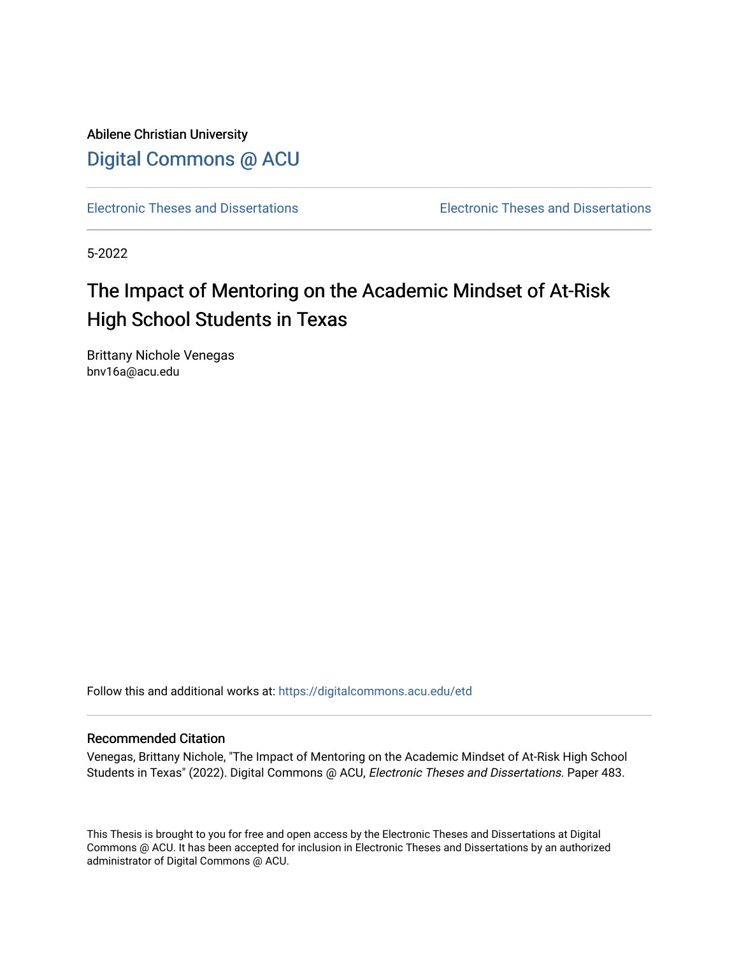Abilene Christian University [Digital Commons @ ACU](https://digitalcommons.acu.edu/)

[Electronic Theses and Dissertations](https://digitalcommons.acu.edu/etd) [Electronic Theses and Dissertations](https://digitalcommons.acu.edu/graduate_works) 

5-2022

# The Impact of Mentoring on the Academic Mindset of At-Risk High School Students in Texas

Brittany Nichole Venegas bnv16a@acu.edu

Follow this and additional works at: [https://digitalcommons.acu.edu/etd](https://digitalcommons.acu.edu/etd?utm_source=digitalcommons.acu.edu%2Fetd%2F483&utm_medium=PDF&utm_campaign=PDFCoverPages) 

### Recommended Citation

Venegas, Brittany Nichole, "The Impact of Mentoring on the Academic Mindset of At-Risk High School Students in Texas" (2022). Digital Commons @ ACU, Electronic Theses and Dissertations. Paper 483.

This Thesis is brought to you for free and open access by the Electronic Theses and Dissertations at Digital Commons @ ACU. It has been accepted for inclusion in Electronic Theses and Dissertations by an authorized administrator of Digital Commons @ ACU.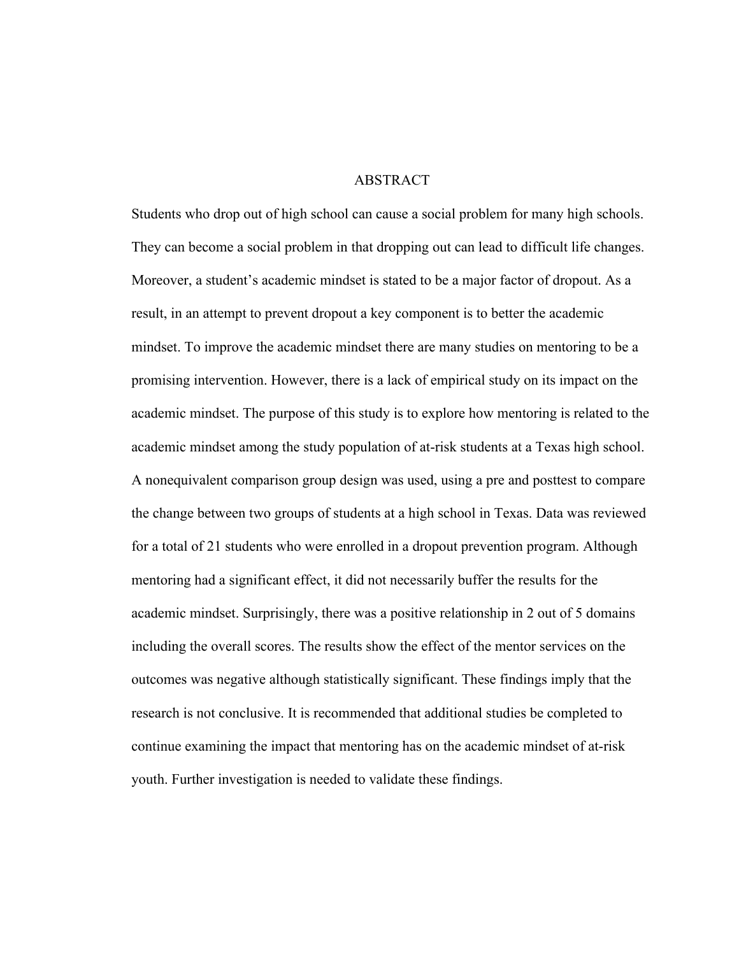# ABSTRACT

Students who drop out of high school can cause a social problem for many high schools. They can become a social problem in that dropping out can lead to difficult life changes. Moreover, a student's academic mindset is stated to be a major factor of dropout. As a result, in an attempt to prevent dropout a key component is to better the academic mindset. To improve the academic mindset there are many studies on mentoring to be a promising intervention. However, there is a lack of empirical study on its impact on the academic mindset. The purpose of this study is to explore how mentoring is related to the academic mindset among the study population of at-risk students at a Texas high school. A nonequivalent comparison group design was used, using a pre and posttest to compare the change between two groups of students at a high school in Texas. Data was reviewed for a total of 21 students who were enrolled in a dropout prevention program. Although mentoring had a significant effect, it did not necessarily buffer the results for the academic mindset. Surprisingly, there was a positive relationship in 2 out of 5 domains including the overall scores. The results show the effect of the mentor services on the outcomes was negative although statistically significant. These findings imply that the research is not conclusive. It is recommended that additional studies be completed to continue examining the impact that mentoring has on the academic mindset of at-risk youth. Further investigation is needed to validate these findings.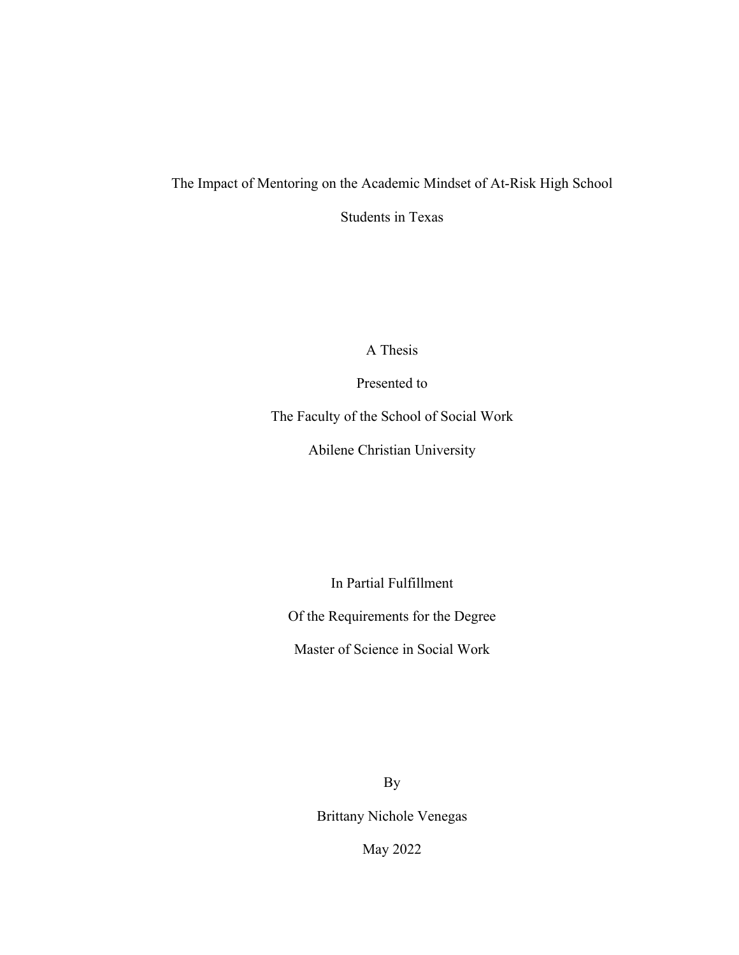# The Impact of Mentoring on the Academic Mindset of At-Risk High School

Students in Texas

A Thesis

Presented to

The Faculty of the School of Social Work

Abilene Christian University

In Partial Fulfillment

Of the Requirements for the Degree

Master of Science in Social Work

By

Brittany Nichole Venegas

May 2022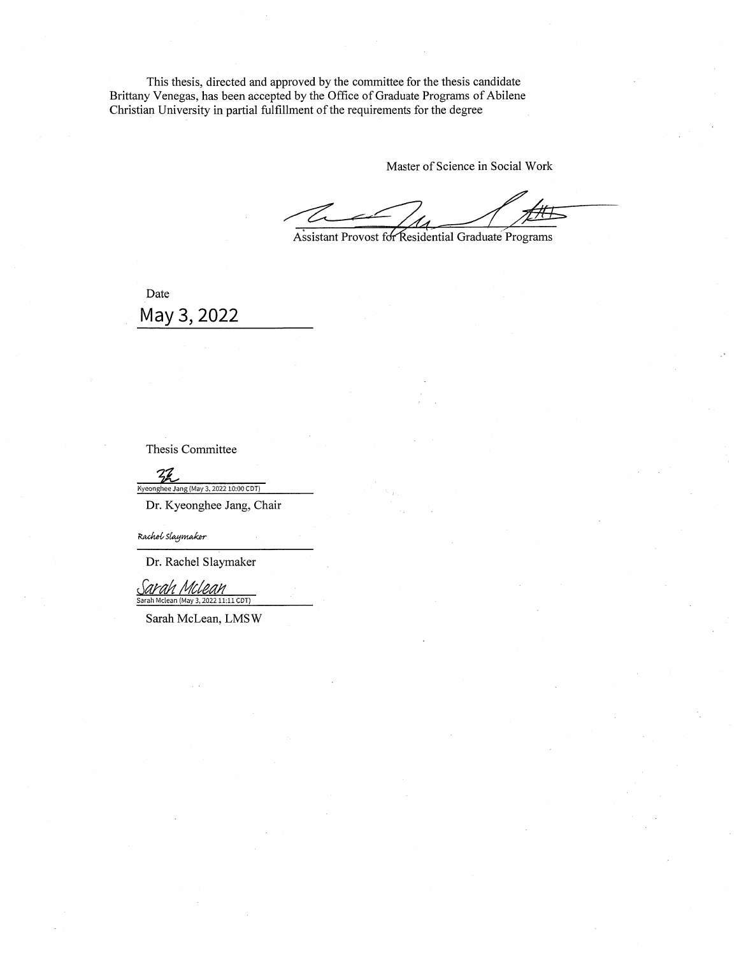This thesis, directed and approved by the committee for the thesis candidate Brittany Venegas, has been accepted by the Office of Graduate Programs of Abilene Christian University in partial fulfillment of the requirements for the degree

Master of Science in Social Work

Assistant Provost for Residential Graduate Programs

Date May 3, 2022

Thesis Committee

 $\frac{2}{2}$ Kyeonghee Jang (May 3, 2022 10:00 CDT)

Dr. Kyeonghee Jang, Chair

Rachol Slaymaker

Dr. Rachel Slaymaker

*Savala* Sarah Mclean (May 3, 2022 11:11 CDT)

Sarah McLean, LMSW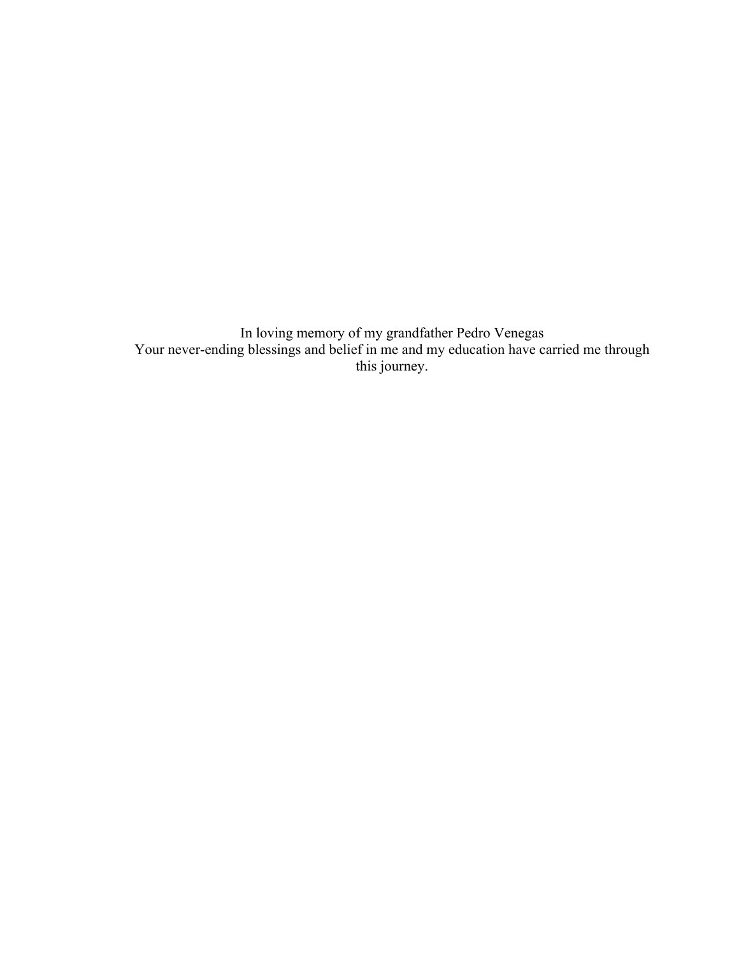In loving memory of my grandfather Pedro Venegas Your never-ending blessings and belief in me and my education have carried me through this journey.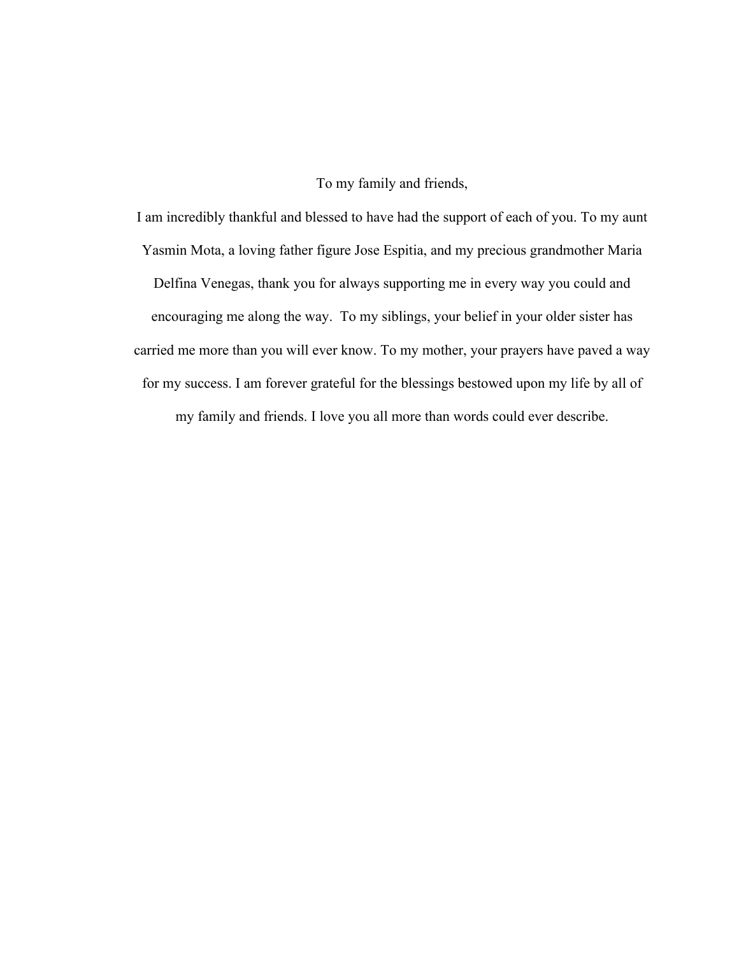To my family and friends,

I am incredibly thankful and blessed to have had the support of each of you. To my aunt Yasmin Mota, a loving father figure Jose Espitia, and my precious grandmother Maria Delfina Venegas, thank you for always supporting me in every way you could and encouraging me along the way. To my siblings, your belief in your older sister has carried me more than you will ever know. To my mother, your prayers have paved a way for my success. I am forever grateful for the blessings bestowed upon my life by all of my family and friends. I love you all more than words could ever describe.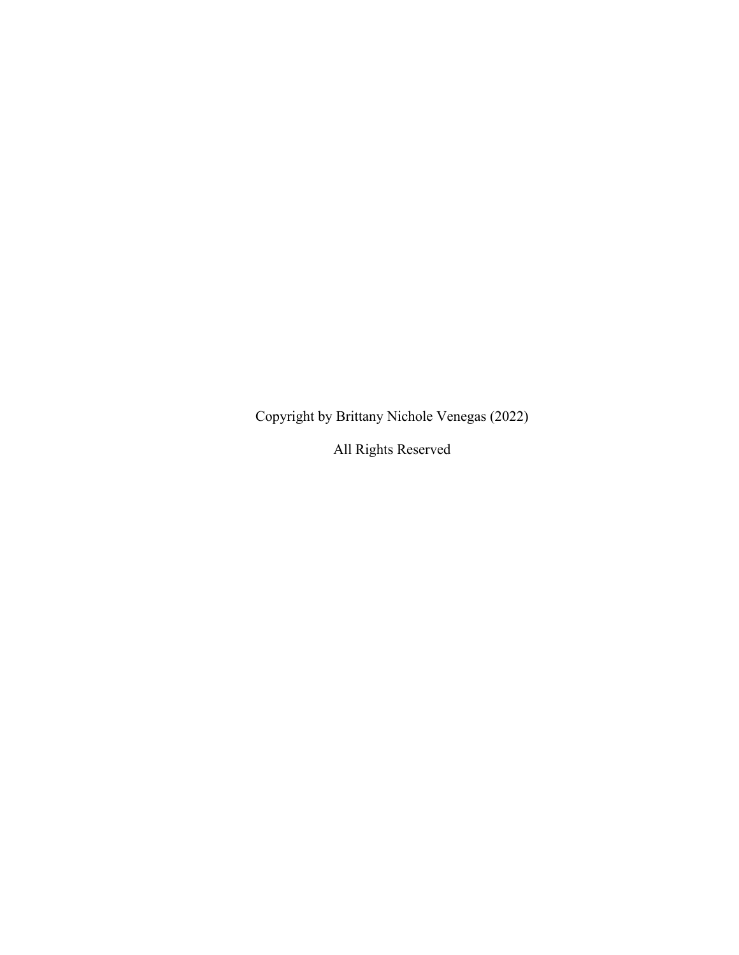Copyright by Brittany Nichole Venegas (2022)

All Rights Reserved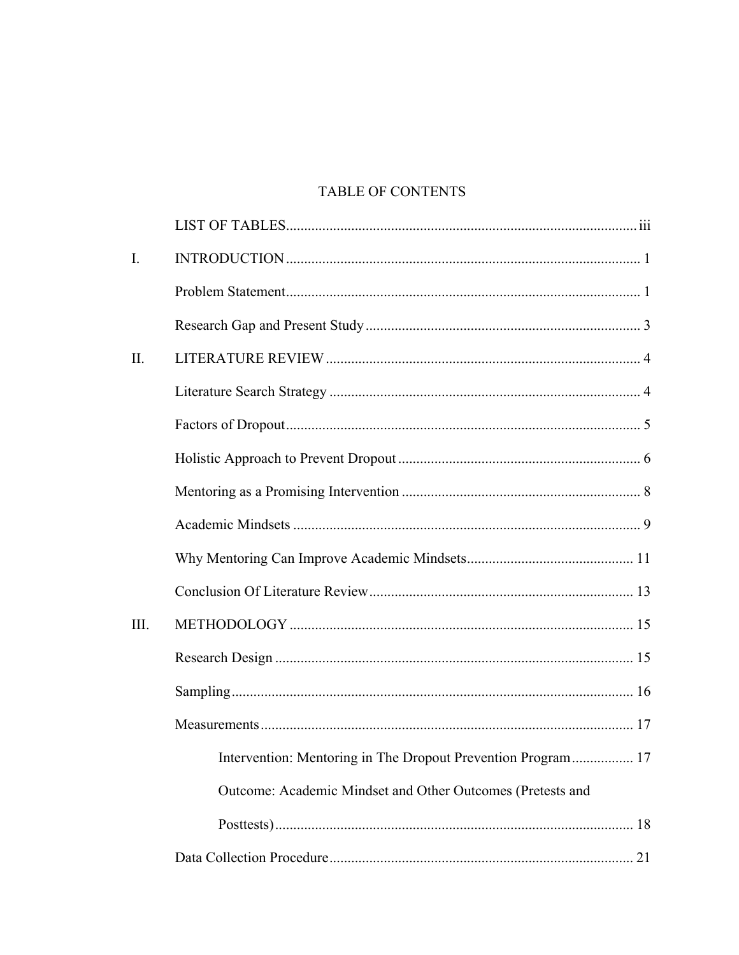# TABLE OF CONTENTS

| $\mathbf{I}$ . |                                                              |
|----------------|--------------------------------------------------------------|
|                |                                                              |
|                |                                                              |
| II.            |                                                              |
|                |                                                              |
|                |                                                              |
|                |                                                              |
|                |                                                              |
|                |                                                              |
|                |                                                              |
|                |                                                              |
| III.           |                                                              |
|                |                                                              |
|                |                                                              |
|                |                                                              |
|                | Intervention: Mentoring in The Dropout Prevention Program 17 |
|                | Outcome: Academic Mindset and Other Outcomes (Pretests and   |
|                |                                                              |
|                |                                                              |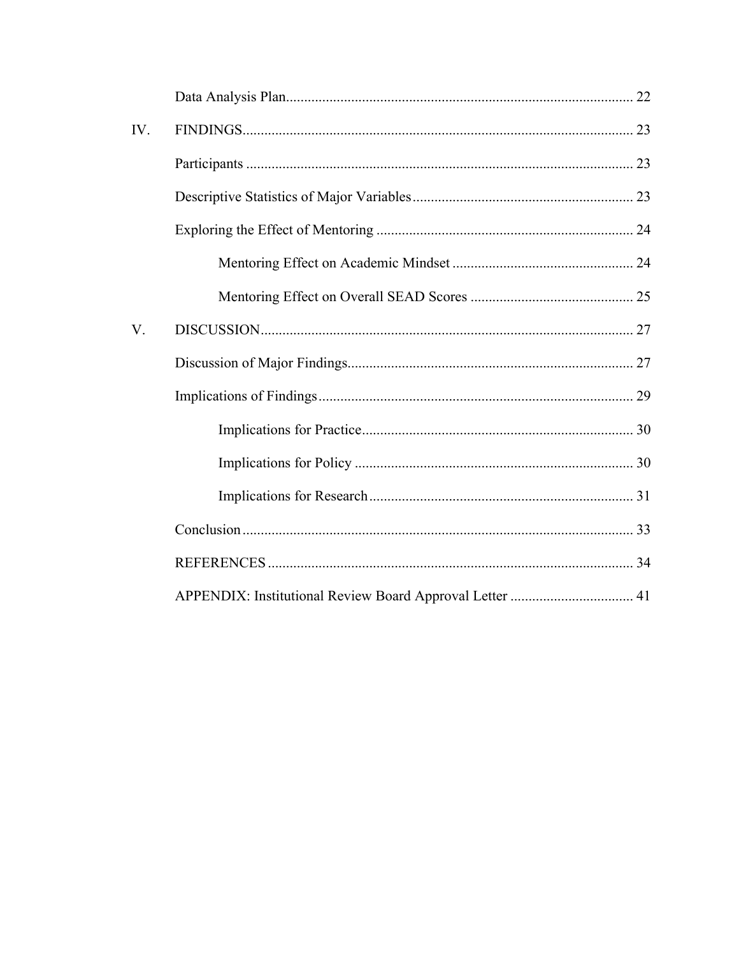| IV. |  |
|-----|--|
|     |  |
|     |  |
|     |  |
|     |  |
|     |  |
| V.  |  |
|     |  |
|     |  |
|     |  |
|     |  |
|     |  |
|     |  |
|     |  |
|     |  |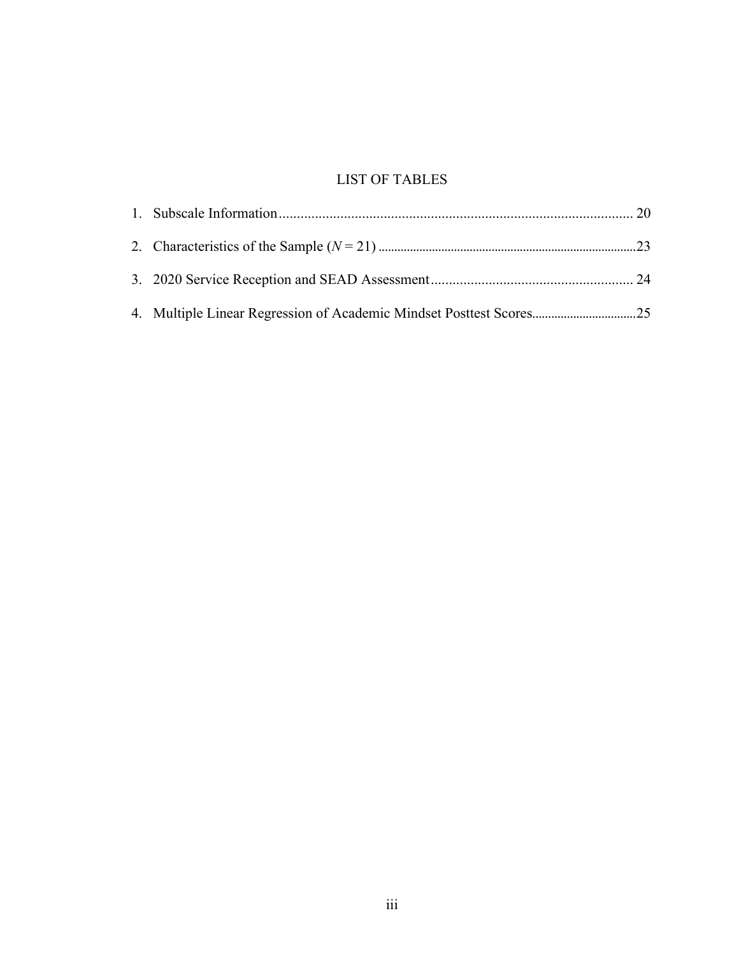# LIST OF TABLES

| 4. Multiple Linear Regression of Academic Mindset Posttest Scores25 |  |
|---------------------------------------------------------------------|--|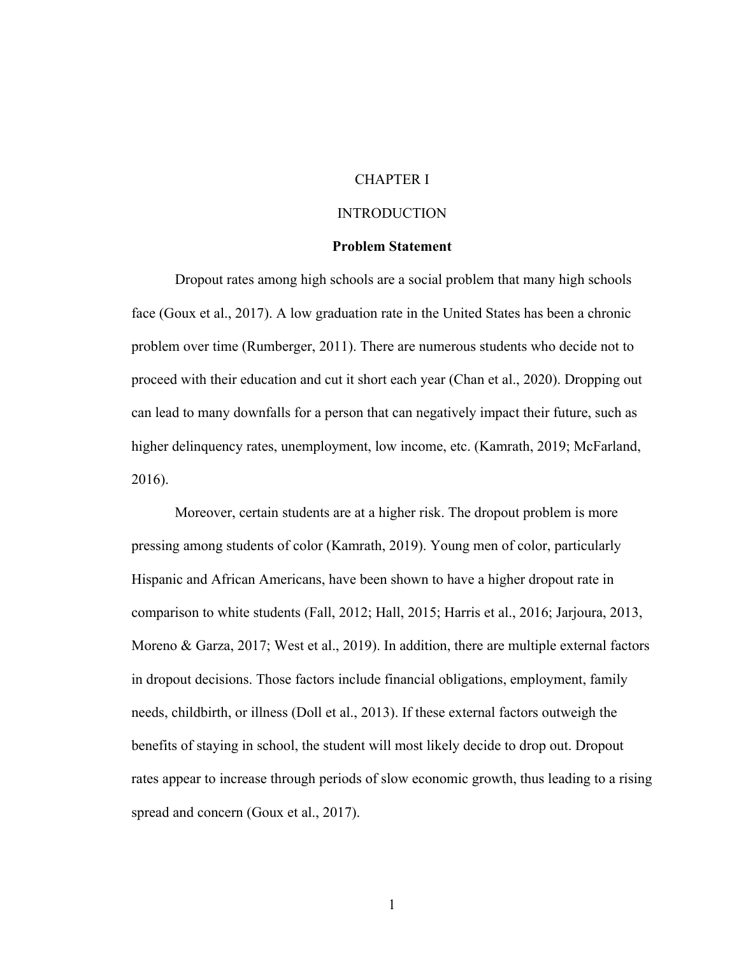# CHAPTER I

### INTRODUCTION

### **Problem Statement**

Dropout rates among high schools are a social problem that many high schools face (Goux et al., 2017). A low graduation rate in the United States has been a chronic problem over time (Rumberger, 2011). There are numerous students who decide not to proceed with their education and cut it short each year (Chan et al., 2020). Dropping out can lead to many downfalls for a person that can negatively impact their future, such as higher delinquency rates, unemployment, low income, etc. (Kamrath, 2019; McFarland, 2016).

Moreover, certain students are at a higher risk. The dropout problem is more pressing among students of color (Kamrath, 2019). Young men of color, particularly Hispanic and African Americans, have been shown to have a higher dropout rate in comparison to white students (Fall, 2012; Hall, 2015; Harris et al., 2016; Jarjoura, 2013, Moreno & Garza, 2017; West et al., 2019). In addition, there are multiple external factors in dropout decisions. Those factors include financial obligations, employment, family needs, childbirth, or illness (Doll et al., 2013). If these external factors outweigh the benefits of staying in school, the student will most likely decide to drop out. Dropout rates appear to increase through periods of slow economic growth, thus leading to a rising spread and concern (Goux et al., 2017).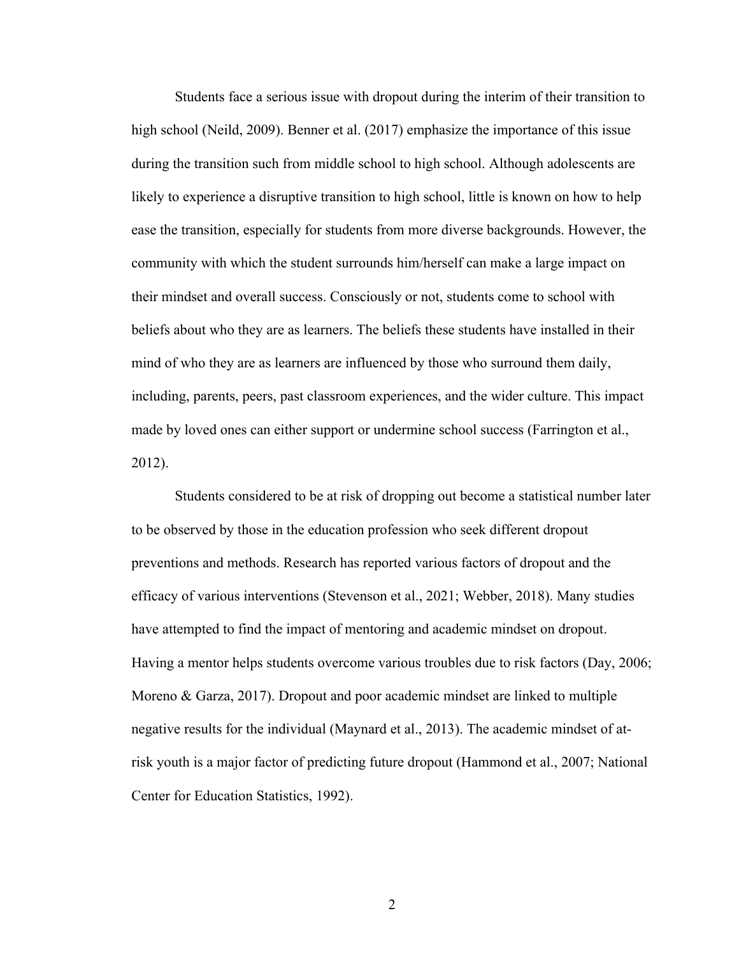Students face a serious issue with dropout during the interim of their transition to high school (Neild, 2009). Benner et al. (2017) emphasize the importance of this issue during the transition such from middle school to high school. Although adolescents are likely to experience a disruptive transition to high school, little is known on how to help ease the transition, especially for students from more diverse backgrounds. However, the community with which the student surrounds him/herself can make a large impact on their mindset and overall success. Consciously or not, students come to school with beliefs about who they are as learners. The beliefs these students have installed in their mind of who they are as learners are influenced by those who surround them daily, including, parents, peers, past classroom experiences, and the wider culture. This impact made by loved ones can either support or undermine school success (Farrington et al., 2012).

Students considered to be at risk of dropping out become a statistical number later to be observed by those in the education profession who seek different dropout preventions and methods. Research has reported various factors of dropout and the efficacy of various interventions (Stevenson et al., 2021; Webber, 2018). Many studies have attempted to find the impact of mentoring and academic mindset on dropout. Having a mentor helps students overcome various troubles due to risk factors (Day, 2006; Moreno & Garza, 2017). Dropout and poor academic mindset are linked to multiple negative results for the individual (Maynard et al., 2013). The academic mindset of atrisk youth is a major factor of predicting future dropout (Hammond et al., 2007; National Center for Education Statistics, 1992).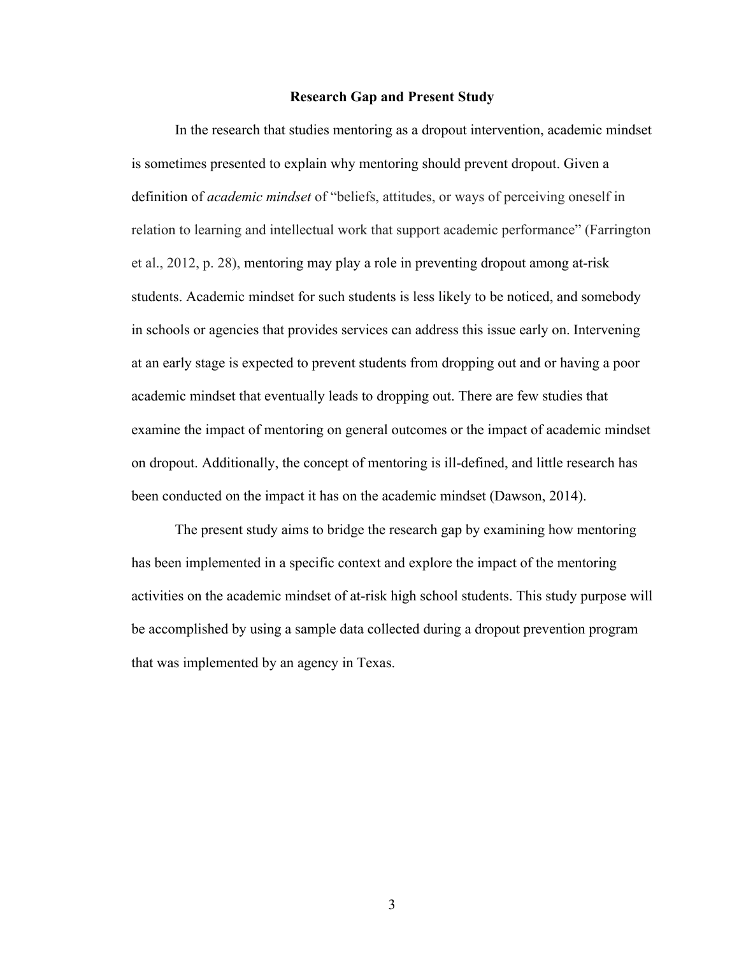### **Research Gap and Present Study**

In the research that studies mentoring as a dropout intervention, academic mindset is sometimes presented to explain why mentoring should prevent dropout. Given a definition of *academic mindset* of "beliefs, attitudes, or ways of perceiving oneself in relation to learning and intellectual work that support academic performance" (Farrington et al., 2012, p. 28), mentoring may play a role in preventing dropout among at-risk students. Academic mindset for such students is less likely to be noticed, and somebody in schools or agencies that provides services can address this issue early on. Intervening at an early stage is expected to prevent students from dropping out and or having a poor academic mindset that eventually leads to dropping out. There are few studies that examine the impact of mentoring on general outcomes or the impact of academic mindset on dropout. Additionally, the concept of mentoring is ill-defined, and little research has been conducted on the impact it has on the academic mindset (Dawson, 2014).

The present study aims to bridge the research gap by examining how mentoring has been implemented in a specific context and explore the impact of the mentoring activities on the academic mindset of at-risk high school students. This study purpose will be accomplished by using a sample data collected during a dropout prevention program that was implemented by an agency in Texas.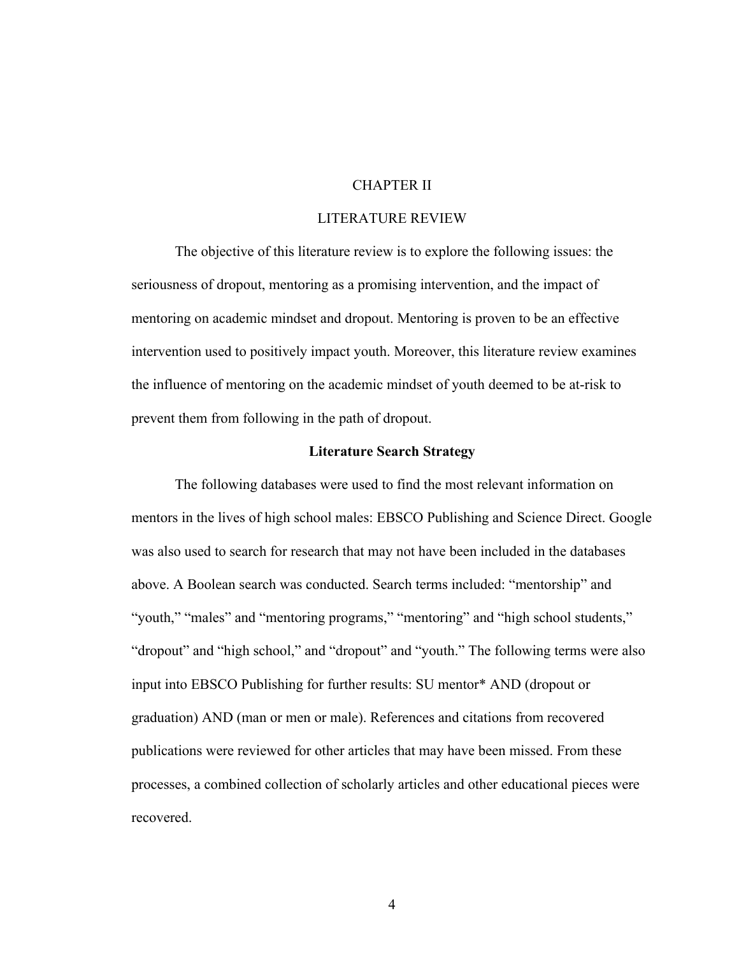# CHAPTER II

# LITERATURE REVIEW

The objective of this literature review is to explore the following issues: the seriousness of dropout, mentoring as a promising intervention, and the impact of mentoring on academic mindset and dropout. Mentoring is proven to be an effective intervention used to positively impact youth. Moreover, this literature review examines the influence of mentoring on the academic mindset of youth deemed to be at-risk to prevent them from following in the path of dropout.

### **Literature Search Strategy**

The following databases were used to find the most relevant information on mentors in the lives of high school males: EBSCO Publishing and Science Direct. Google was also used to search for research that may not have been included in the databases above. A Boolean search was conducted. Search terms included: "mentorship" and "youth," "males" and "mentoring programs," "mentoring" and "high school students," "dropout" and "high school," and "dropout" and "youth." The following terms were also input into EBSCO Publishing for further results: SU mentor\* AND (dropout or graduation) AND (man or men or male). References and citations from recovered publications were reviewed for other articles that may have been missed. From these processes, a combined collection of scholarly articles and other educational pieces were recovered.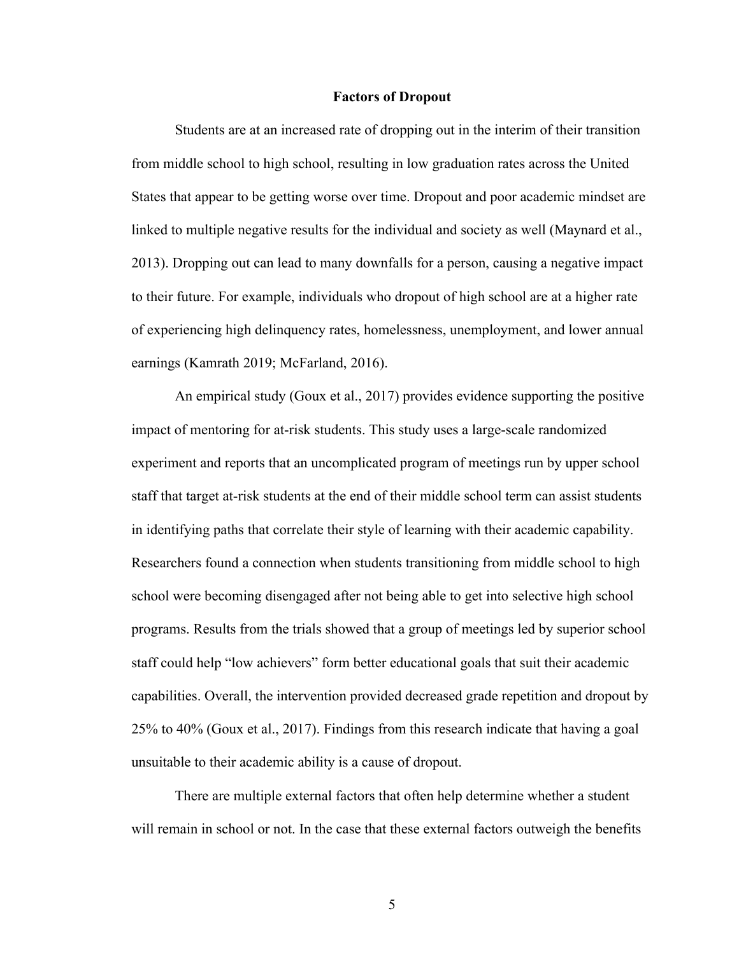#### **Factors of Dropout**

Students are at an increased rate of dropping out in the interim of their transition from middle school to high school, resulting in low graduation rates across the United States that appear to be getting worse over time. Dropout and poor academic mindset are linked to multiple negative results for the individual and society as well (Maynard et al., 2013). Dropping out can lead to many downfalls for a person, causing a negative impact to their future. For example, individuals who dropout of high school are at a higher rate of experiencing high delinquency rates, homelessness, unemployment, and lower annual earnings (Kamrath 2019; McFarland, 2016).

An empirical study (Goux et al., 2017) provides evidence supporting the positive impact of mentoring for at-risk students. This study uses a large-scale randomized experiment and reports that an uncomplicated program of meetings run by upper school staff that target at-risk students at the end of their middle school term can assist students in identifying paths that correlate their style of learning with their academic capability. Researchers found a connection when students transitioning from middle school to high school were becoming disengaged after not being able to get into selective high school programs. Results from the trials showed that a group of meetings led by superior school staff could help "low achievers" form better educational goals that suit their academic capabilities. Overall, the intervention provided decreased grade repetition and dropout by 25% to 40% (Goux et al., 2017). Findings from this research indicate that having a goal unsuitable to their academic ability is a cause of dropout.

There are multiple external factors that often help determine whether a student will remain in school or not. In the case that these external factors outweigh the benefits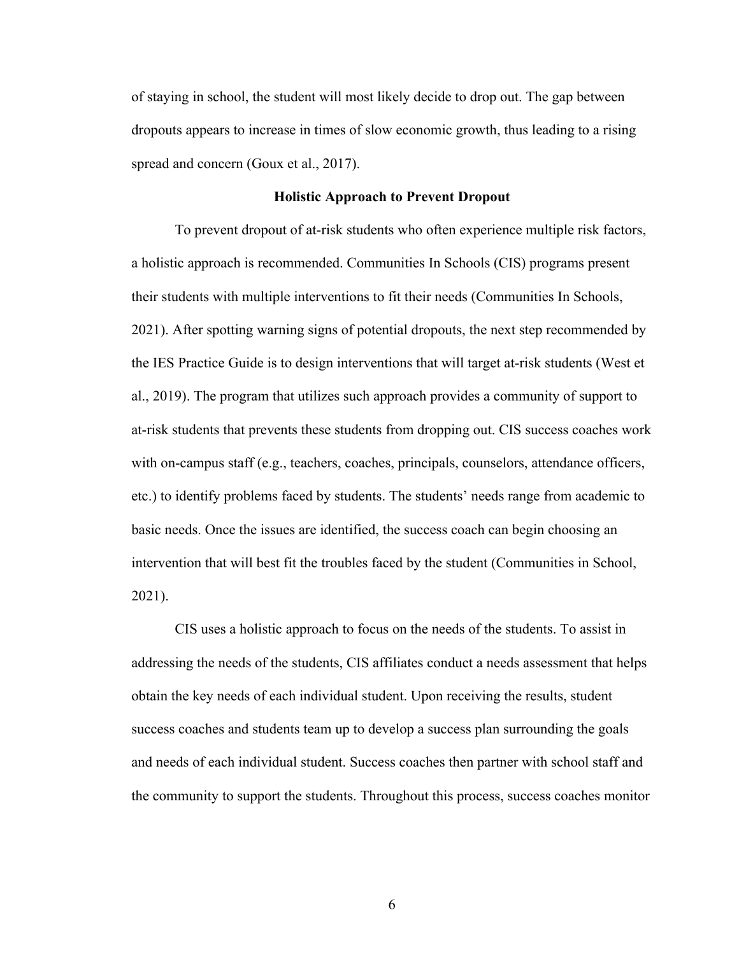of staying in school, the student will most likely decide to drop out. The gap between dropouts appears to increase in times of slow economic growth, thus leading to a rising spread and concern (Goux et al., 2017).

#### **Holistic Approach to Prevent Dropout**

To prevent dropout of at-risk students who often experience multiple risk factors, a holistic approach is recommended. Communities In Schools (CIS) programs present their students with multiple interventions to fit their needs (Communities In Schools, 2021). After spotting warning signs of potential dropouts, the next step recommended by the IES Practice Guide is to design interventions that will target at-risk students (West et al., 2019). The program that utilizes such approach provides a community of support to at-risk students that prevents these students from dropping out. CIS success coaches work with on-campus staff (e.g., teachers, coaches, principals, counselors, attendance officers, etc.) to identify problems faced by students. The students' needs range from academic to basic needs. Once the issues are identified, the success coach can begin choosing an intervention that will best fit the troubles faced by the student (Communities in School, 2021).

CIS uses a holistic approach to focus on the needs of the students. To assist in addressing the needs of the students, CIS affiliates conduct a needs assessment that helps obtain the key needs of each individual student. Upon receiving the results, student success coaches and students team up to develop a success plan surrounding the goals and needs of each individual student. Success coaches then partner with school staff and the community to support the students. Throughout this process, success coaches monitor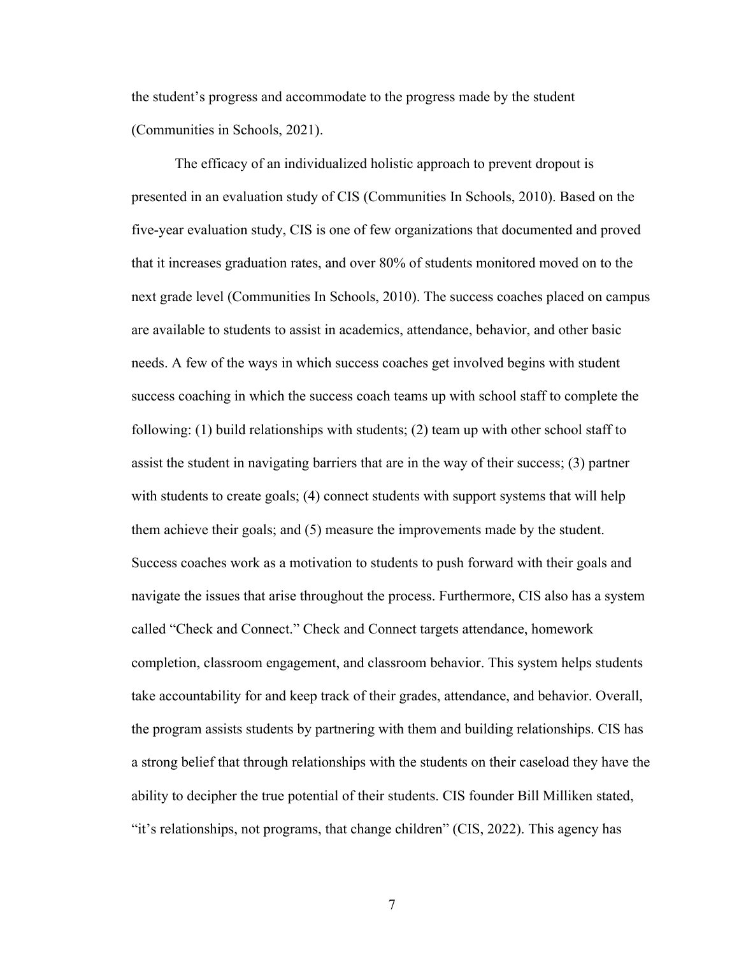the student's progress and accommodate to the progress made by the student (Communities in Schools, 2021).

The efficacy of an individualized holistic approach to prevent dropout is presented in an evaluation study of CIS (Communities In Schools, 2010). Based on the five-year evaluation study, CIS is one of few organizations that documented and proved that it increases graduation rates, and over 80% of students monitored moved on to the next grade level (Communities In Schools, 2010). The success coaches placed on campus are available to students to assist in academics, attendance, behavior, and other basic needs. A few of the ways in which success coaches get involved begins with student success coaching in which the success coach teams up with school staff to complete the following: (1) build relationships with students; (2) team up with other school staff to assist the student in navigating barriers that are in the way of their success; (3) partner with students to create goals; (4) connect students with support systems that will help them achieve their goals; and (5) measure the improvements made by the student. Success coaches work as a motivation to students to push forward with their goals and navigate the issues that arise throughout the process. Furthermore, CIS also has a system called "Check and Connect." Check and Connect targets attendance, homework completion, classroom engagement, and classroom behavior. This system helps students take accountability for and keep track of their grades, attendance, and behavior. Overall, the program assists students by partnering with them and building relationships. CIS has a strong belief that through relationships with the students on their caseload they have the ability to decipher the true potential of their students. CIS founder Bill Milliken stated, "it's relationships, not programs, that change children" (CIS, 2022). This agency has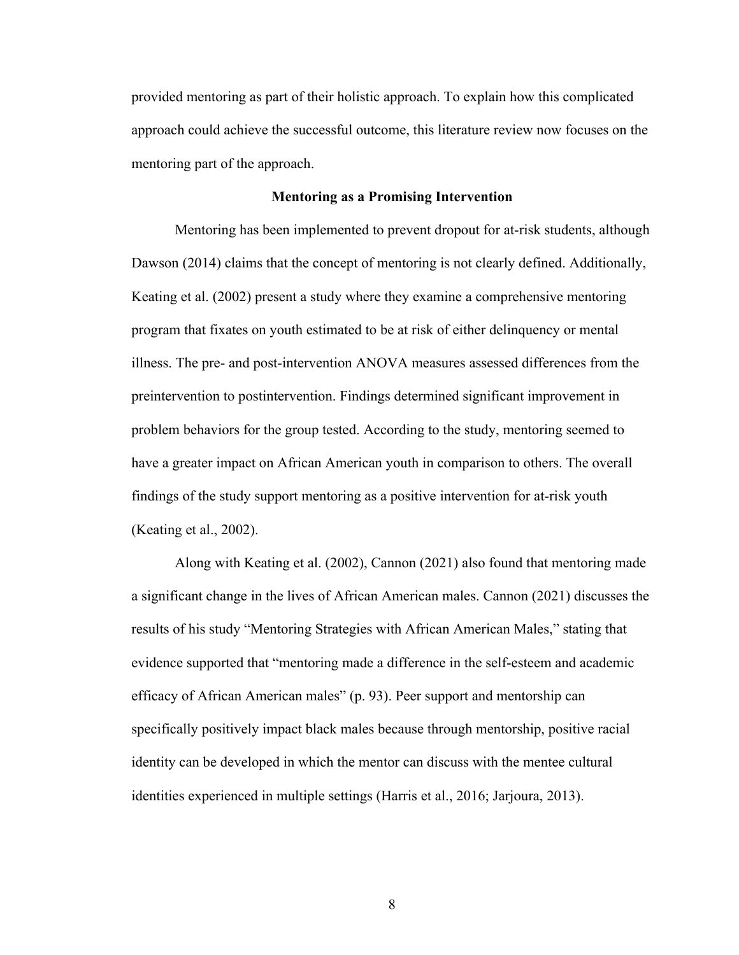provided mentoring as part of their holistic approach. To explain how this complicated approach could achieve the successful outcome, this literature review now focuses on the mentoring part of the approach.

#### **Mentoring as a Promising Intervention**

Mentoring has been implemented to prevent dropout for at-risk students, although Dawson (2014) claims that the concept of mentoring is not clearly defined. Additionally, Keating et al. (2002) present a study where they examine a comprehensive mentoring program that fixates on youth estimated to be at risk of either delinquency or mental illness. The pre- and post-intervention ANOVA measures assessed differences from the preintervention to postintervention. Findings determined significant improvement in problem behaviors for the group tested. According to the study, mentoring seemed to have a greater impact on African American youth in comparison to others. The overall findings of the study support mentoring as a positive intervention for at-risk youth (Keating et al., 2002).

Along with Keating et al. (2002), Cannon (2021) also found that mentoring made a significant change in the lives of African American males. Cannon (2021) discusses the results of his study "Mentoring Strategies with African American Males," stating that evidence supported that "mentoring made a difference in the self-esteem and academic efficacy of African American males" (p. 93). Peer support and mentorship can specifically positively impact black males because through mentorship, positive racial identity can be developed in which the mentor can discuss with the mentee cultural identities experienced in multiple settings (Harris et al., 2016; Jarjoura, 2013).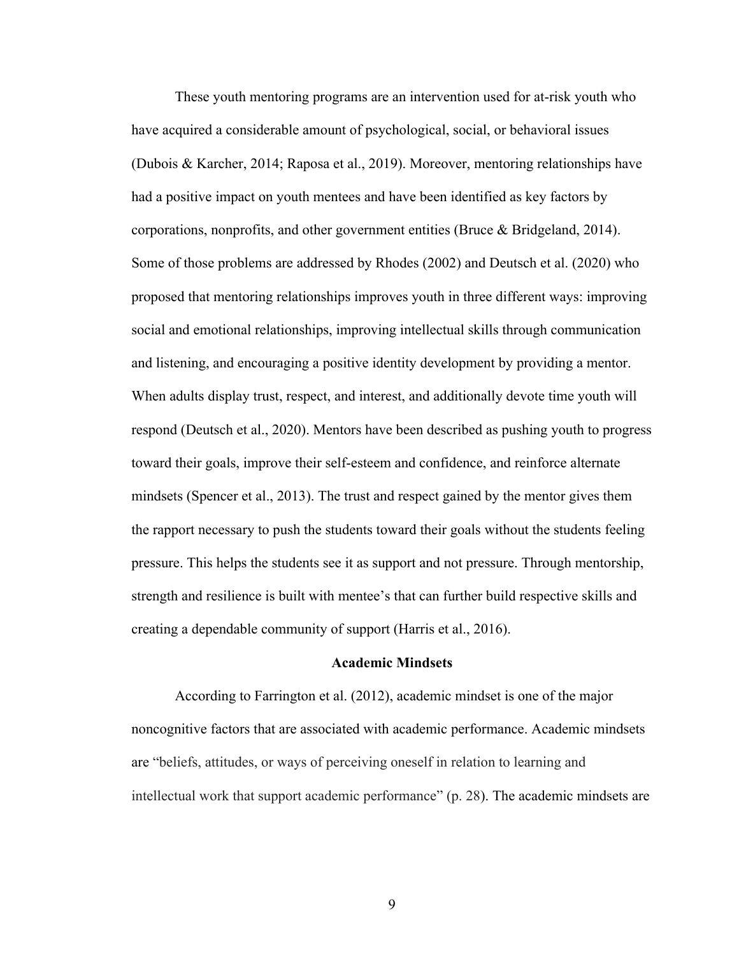These youth mentoring programs are an intervention used for at-risk youth who have acquired a considerable amount of psychological, social, or behavioral issues (Dubois & Karcher, 2014; Raposa et al., 2019). Moreover, mentoring relationships have had a positive impact on youth mentees and have been identified as key factors by corporations, nonprofits, and other government entities (Bruce & Bridgeland, 2014). Some of those problems are addressed by Rhodes (2002) and Deutsch et al. (2020) who proposed that mentoring relationships improves youth in three different ways: improving social and emotional relationships, improving intellectual skills through communication and listening, and encouraging a positive identity development by providing a mentor. When adults display trust, respect, and interest, and additionally devote time youth will respond (Deutsch et al., 2020). Mentors have been described as pushing youth to progress toward their goals, improve their self-esteem and confidence, and reinforce alternate mindsets (Spencer et al., 2013). The trust and respect gained by the mentor gives them the rapport necessary to push the students toward their goals without the students feeling pressure. This helps the students see it as support and not pressure. Through mentorship, strength and resilience is built with mentee's that can further build respective skills and creating a dependable community of support (Harris et al., 2016).

### **Academic Mindsets**

According to Farrington et al. (2012), academic mindset is one of the major noncognitive factors that are associated with academic performance. Academic mindsets are "beliefs, attitudes, or ways of perceiving oneself in relation to learning and intellectual work that support academic performance" (p. 28). The academic mindsets are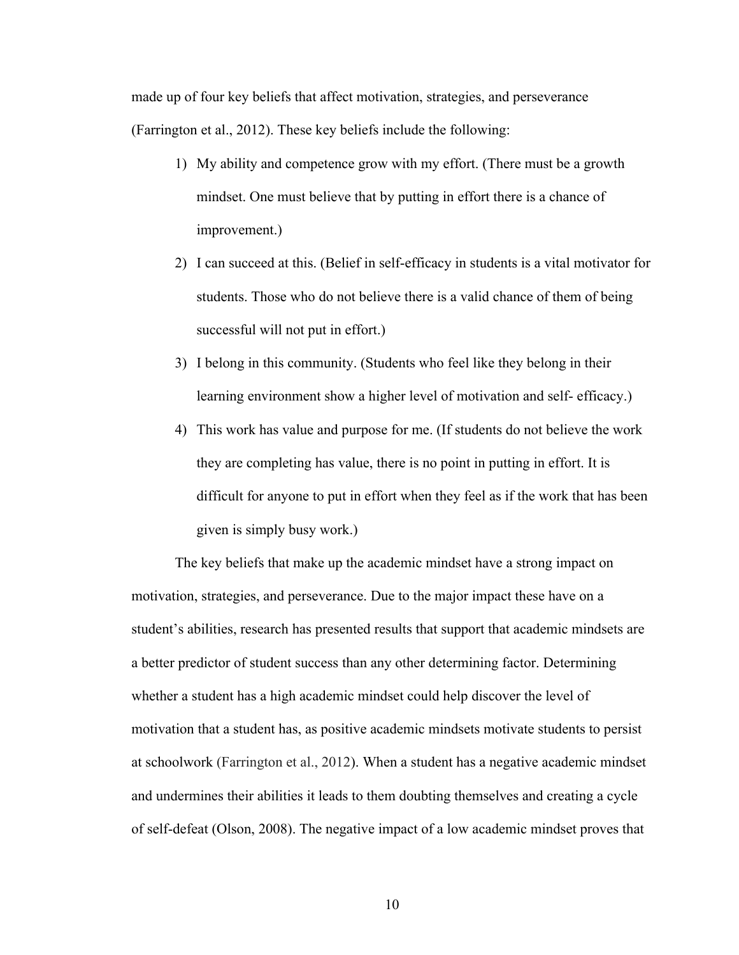made up of four key beliefs that affect motivation, strategies, and perseverance (Farrington et al., 2012). These key beliefs include the following:

- 1) My ability and competence grow with my effort. (There must be a growth mindset. One must believe that by putting in effort there is a chance of improvement.)
- 2) I can succeed at this. (Belief in self-efficacy in students is a vital motivator for students. Those who do not believe there is a valid chance of them of being successful will not put in effort.)
- 3) I belong in this community. (Students who feel like they belong in their learning environment show a higher level of motivation and self- efficacy.)
- 4) This work has value and purpose for me. (If students do not believe the work they are completing has value, there is no point in putting in effort. It is difficult for anyone to put in effort when they feel as if the work that has been given is simply busy work.)

The key beliefs that make up the academic mindset have a strong impact on motivation, strategies, and perseverance. Due to the major impact these have on a student's abilities, research has presented results that support that academic mindsets are a better predictor of student success than any other determining factor. Determining whether a student has a high academic mindset could help discover the level of motivation that a student has, as positive academic mindsets motivate students to persist at schoolwork (Farrington et al., 2012). When a student has a negative academic mindset and undermines their abilities it leads to them doubting themselves and creating a cycle of self-defeat (Olson, 2008). The negative impact of a low academic mindset proves that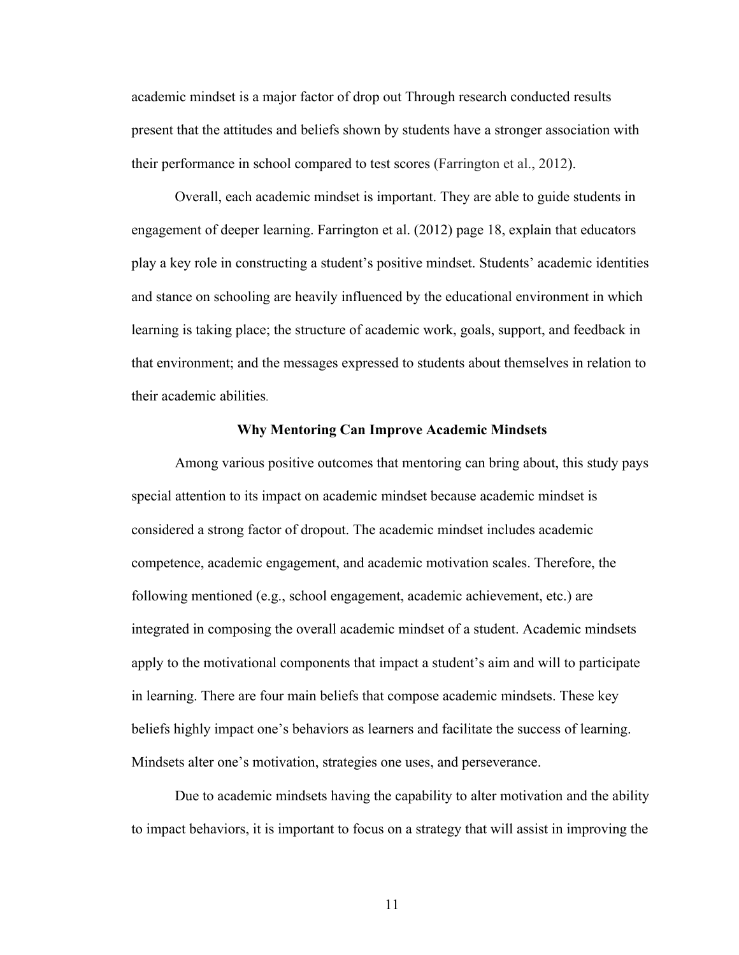academic mindset is a major factor of drop out Through research conducted results present that the attitudes and beliefs shown by students have a stronger association with their performance in school compared to test scores (Farrington et al., 2012).

Overall, each academic mindset is important. They are able to guide students in engagement of deeper learning. Farrington et al. (2012) page 18, explain that educators play a key role in constructing a student's positive mindset. Students' academic identities and stance on schooling are heavily influenced by the educational environment in which learning is taking place; the structure of academic work, goals, support, and feedback in that environment; and the messages expressed to students about themselves in relation to their academic abilities.

### **Why Mentoring Can Improve Academic Mindsets**

Among various positive outcomes that mentoring can bring about, this study pays special attention to its impact on academic mindset because academic mindset is considered a strong factor of dropout. The academic mindset includes academic competence, academic engagement, and academic motivation scales. Therefore, the following mentioned (e.g., school engagement, academic achievement, etc.) are integrated in composing the overall academic mindset of a student. Academic mindsets apply to the motivational components that impact a student's aim and will to participate in learning. There are four main beliefs that compose academic mindsets. These key beliefs highly impact one's behaviors as learners and facilitate the success of learning. Mindsets alter one's motivation, strategies one uses, and perseverance.

Due to academic mindsets having the capability to alter motivation and the ability to impact behaviors, it is important to focus on a strategy that will assist in improving the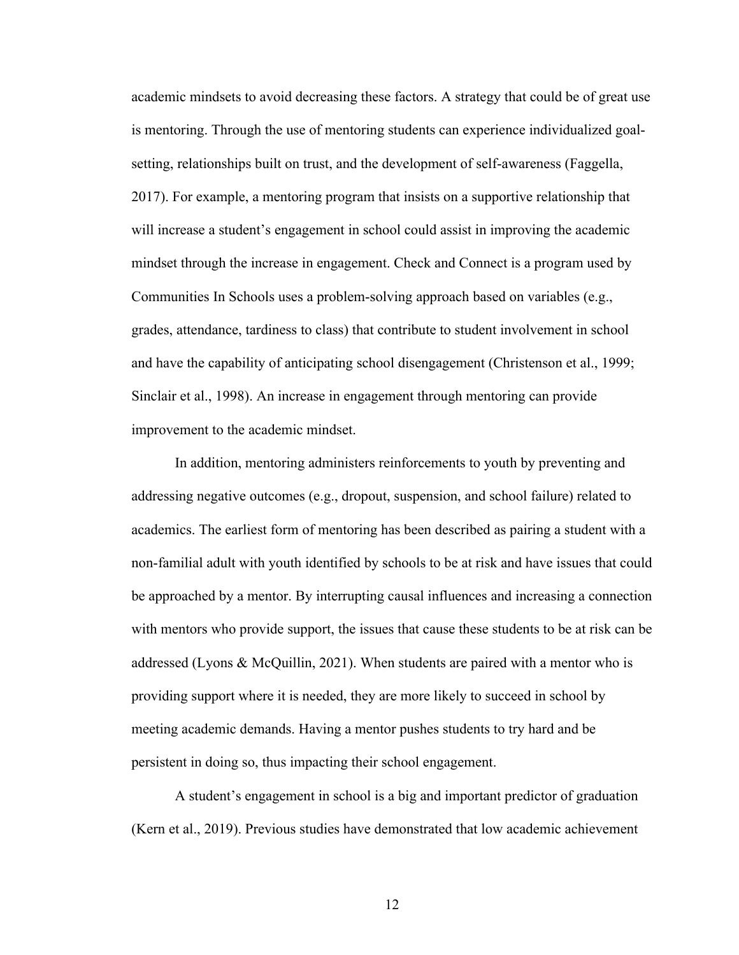academic mindsets to avoid decreasing these factors. A strategy that could be of great use is mentoring. Through the use of mentoring students can experience individualized goalsetting, relationships built on trust, and the development of self-awareness (Faggella, 2017). For example, a mentoring program that insists on a supportive relationship that will increase a student's engagement in school could assist in improving the academic mindset through the increase in engagement. Check and Connect is a program used by Communities In Schools uses a problem-solving approach based on variables (e.g., grades, attendance, tardiness to class) that contribute to student involvement in school and have the capability of anticipating school disengagement (Christenson et al., 1999; Sinclair et al., 1998). An increase in engagement through mentoring can provide improvement to the academic mindset.

In addition, mentoring administers reinforcements to youth by preventing and addressing negative outcomes (e.g., dropout, suspension, and school failure) related to academics. The earliest form of mentoring has been described as pairing a student with a non-familial adult with youth identified by schools to be at risk and have issues that could be approached by a mentor. By interrupting causal influences and increasing a connection with mentors who provide support, the issues that cause these students to be at risk can be addressed (Lyons & McQuillin, 2021). When students are paired with a mentor who is providing support where it is needed, they are more likely to succeed in school by meeting academic demands. Having a mentor pushes students to try hard and be persistent in doing so, thus impacting their school engagement.

A student's engagement in school is a big and important predictor of graduation (Kern et al., 2019). Previous studies have demonstrated that low academic achievement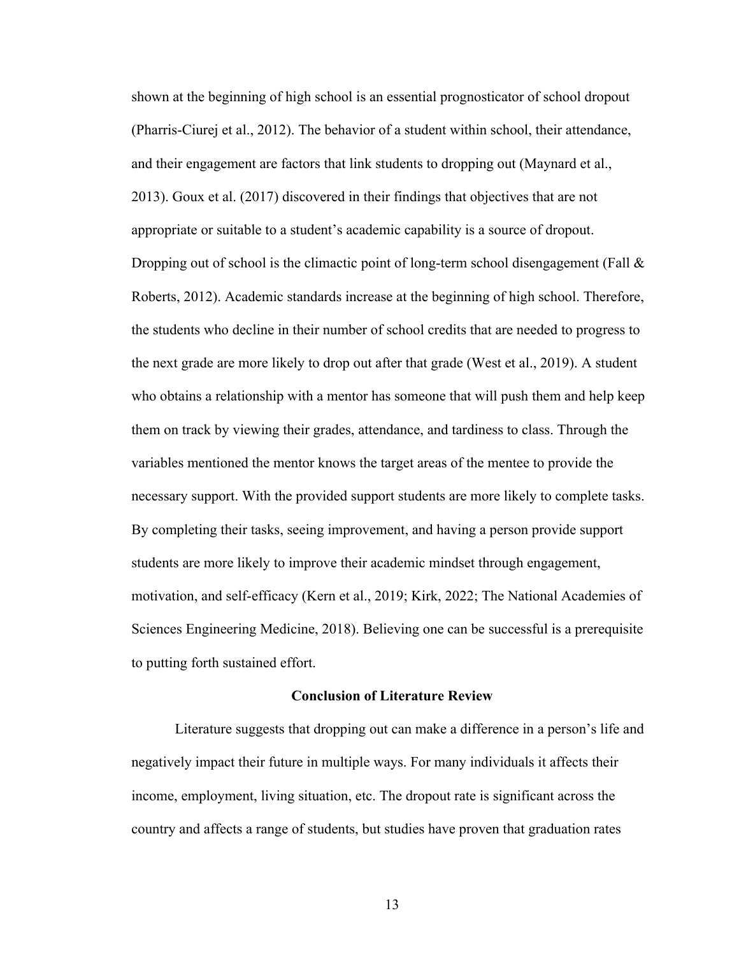shown at the beginning of high school is an essential prognosticator of school dropout (Pharris-Ciurej et al., 2012). The behavior of a student within school, their attendance, and their engagement are factors that link students to dropping out (Maynard et al., 2013). Goux et al. (2017) discovered in their findings that objectives that are not appropriate or suitable to a student's academic capability is a source of dropout. Dropping out of school is the climactic point of long-term school disengagement (Fall  $\&$ Roberts, 2012). Academic standards increase at the beginning of high school. Therefore, the students who decline in their number of school credits that are needed to progress to the next grade are more likely to drop out after that grade (West et al., 2019). A student who obtains a relationship with a mentor has someone that will push them and help keep them on track by viewing their grades, attendance, and tardiness to class. Through the variables mentioned the mentor knows the target areas of the mentee to provide the necessary support. With the provided support students are more likely to complete tasks. By completing their tasks, seeing improvement, and having a person provide support students are more likely to improve their academic mindset through engagement, motivation, and self-efficacy (Kern et al., 2019; Kirk, 2022; The National Academies of Sciences Engineering Medicine, 2018). Believing one can be successful is a prerequisite to putting forth sustained effort.

## **Conclusion of Literature Review**

Literature suggests that dropping out can make a difference in a person's life and negatively impact their future in multiple ways. For many individuals it affects their income, employment, living situation, etc. The dropout rate is significant across the country and affects a range of students, but studies have proven that graduation rates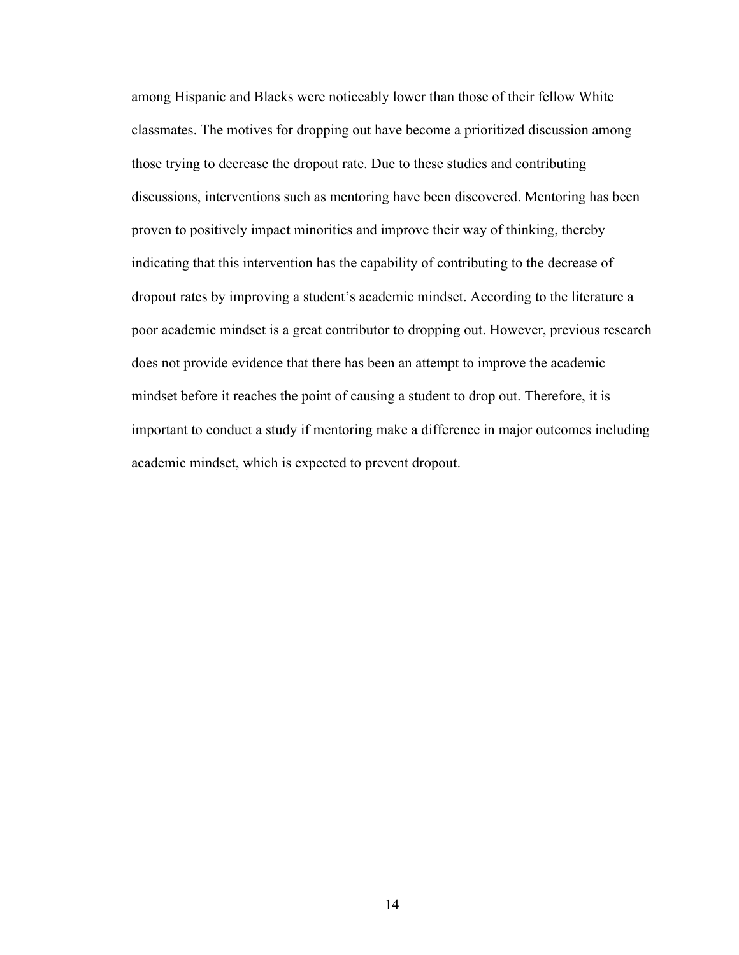among Hispanic and Blacks were noticeably lower than those of their fellow White classmates. The motives for dropping out have become a prioritized discussion among those trying to decrease the dropout rate. Due to these studies and contributing discussions, interventions such as mentoring have been discovered. Mentoring has been proven to positively impact minorities and improve their way of thinking, thereby indicating that this intervention has the capability of contributing to the decrease of dropout rates by improving a student's academic mindset. According to the literature a poor academic mindset is a great contributor to dropping out. However, previous research does not provide evidence that there has been an attempt to improve the academic mindset before it reaches the point of causing a student to drop out. Therefore, it is important to conduct a study if mentoring make a difference in major outcomes including academic mindset, which is expected to prevent dropout.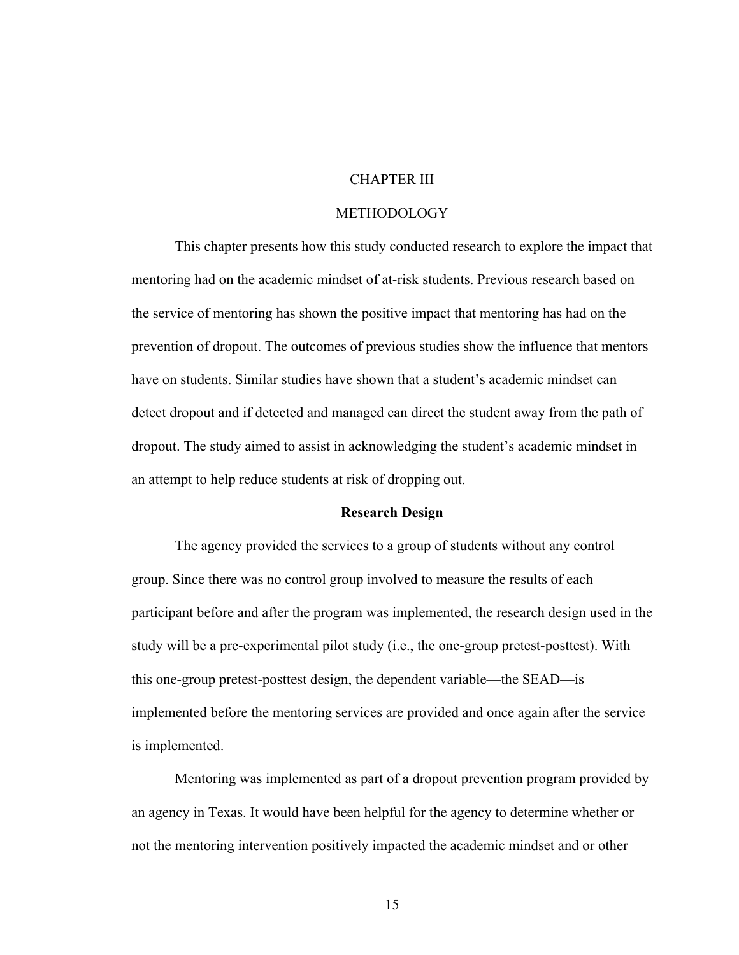# CHAPTER III

### METHODOLOGY

This chapter presents how this study conducted research to explore the impact that mentoring had on the academic mindset of at-risk students. Previous research based on the service of mentoring has shown the positive impact that mentoring has had on the prevention of dropout. The outcomes of previous studies show the influence that mentors have on students. Similar studies have shown that a student's academic mindset can detect dropout and if detected and managed can direct the student away from the path of dropout. The study aimed to assist in acknowledging the student's academic mindset in an attempt to help reduce students at risk of dropping out.

### **Research Design**

The agency provided the services to a group of students without any control group. Since there was no control group involved to measure the results of each participant before and after the program was implemented, the research design used in the study will be a pre-experimental pilot study (i.e., the one-group pretest-posttest). With this one-group pretest-posttest design, the dependent variable—the SEAD—is implemented before the mentoring services are provided and once again after the service is implemented.

Mentoring was implemented as part of a dropout prevention program provided by an agency in Texas. It would have been helpful for the agency to determine whether or not the mentoring intervention positively impacted the academic mindset and or other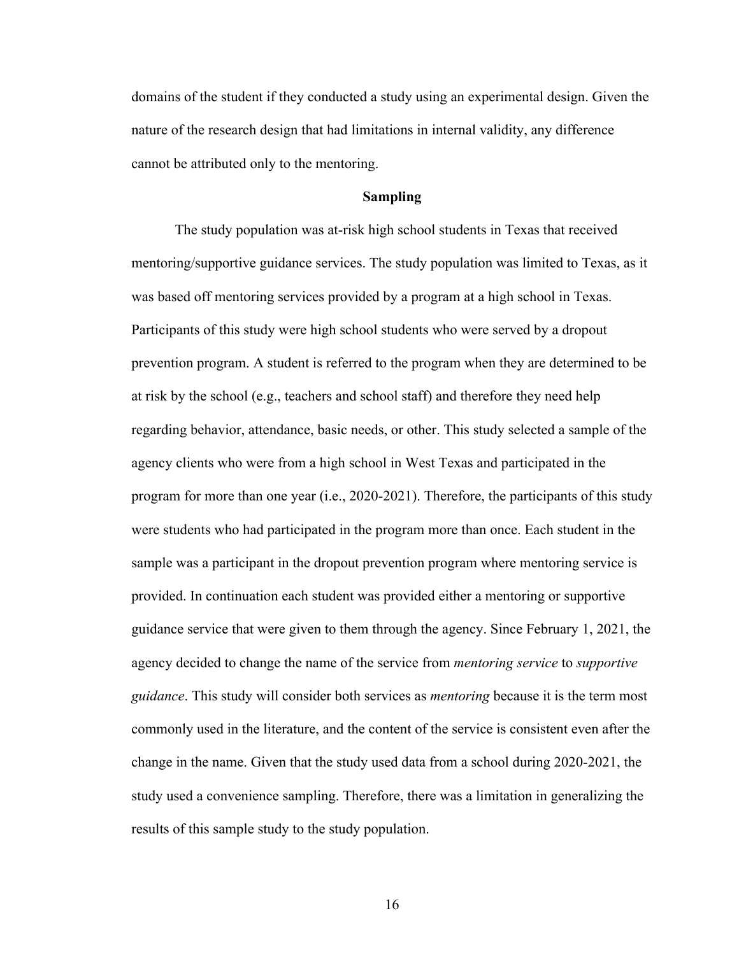domains of the student if they conducted a study using an experimental design. Given the nature of the research design that had limitations in internal validity, any difference cannot be attributed only to the mentoring.

#### **Sampling**

The study population was at-risk high school students in Texas that received mentoring/supportive guidance services. The study population was limited to Texas, as it was based off mentoring services provided by a program at a high school in Texas. Participants of this study were high school students who were served by a dropout prevention program. A student is referred to the program when they are determined to be at risk by the school (e.g., teachers and school staff) and therefore they need help regarding behavior, attendance, basic needs, or other. This study selected a sample of the agency clients who were from a high school in West Texas and participated in the program for more than one year (i.e., 2020-2021). Therefore, the participants of this study were students who had participated in the program more than once. Each student in the sample was a participant in the dropout prevention program where mentoring service is provided. In continuation each student was provided either a mentoring or supportive guidance service that were given to them through the agency. Since February 1, 2021, the agency decided to change the name of the service from *mentoring service* to *supportive guidance*. This study will consider both services as *mentoring* because it is the term most commonly used in the literature, and the content of the service is consistent even after the change in the name. Given that the study used data from a school during 2020-2021, the study used a convenience sampling. Therefore, there was a limitation in generalizing the results of this sample study to the study population.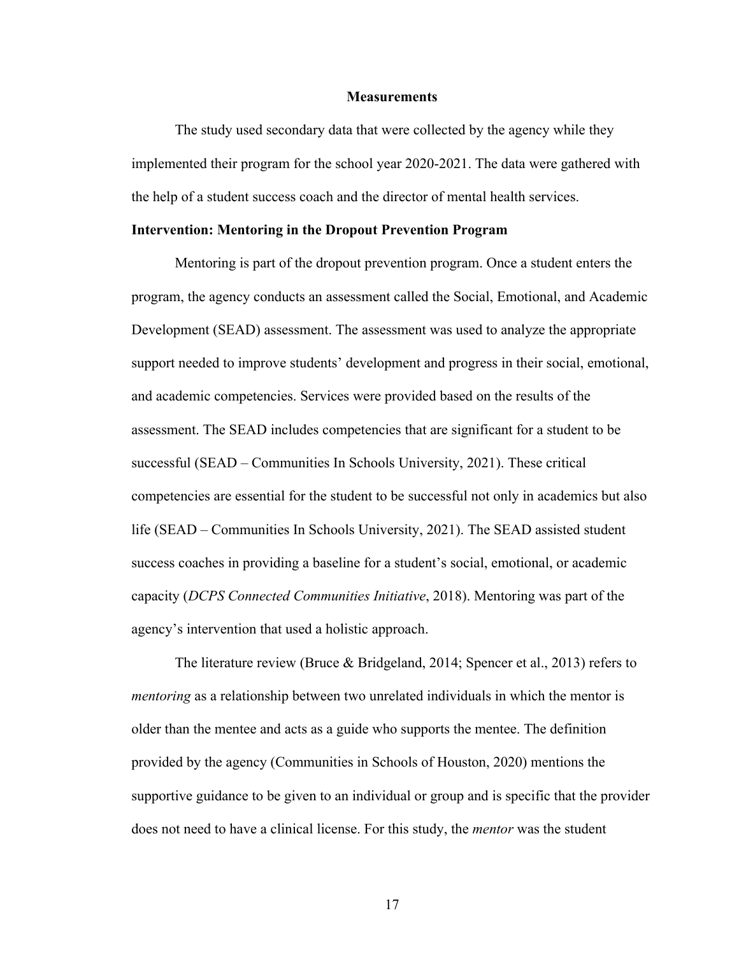### **Measurements**

The study used secondary data that were collected by the agency while they implemented their program for the school year 2020-2021. The data were gathered with the help of a student success coach and the director of mental health services.

### **Intervention: Mentoring in the Dropout Prevention Program**

Mentoring is part of the dropout prevention program. Once a student enters the program, the agency conducts an assessment called the Social, Emotional, and Academic Development (SEAD) assessment. The assessment was used to analyze the appropriate support needed to improve students' development and progress in their social, emotional, and academic competencies. Services were provided based on the results of the assessment. The SEAD includes competencies that are significant for a student to be successful (SEAD – Communities In Schools University, 2021). These critical competencies are essential for the student to be successful not only in academics but also life (SEAD – Communities In Schools University, 2021). The SEAD assisted student success coaches in providing a baseline for a student's social, emotional, or academic capacity (*DCPS Connected Communities Initiative*, 2018). Mentoring was part of the agency's intervention that used a holistic approach.

The literature review (Bruce & Bridgeland, 2014; Spencer et al., 2013) refers to *mentoring* as a relationship between two unrelated individuals in which the mentor is older than the mentee and acts as a guide who supports the mentee. The definition provided by the agency (Communities in Schools of Houston, 2020) mentions the supportive guidance to be given to an individual or group and is specific that the provider does not need to have a clinical license. For this study, the *mentor* was the student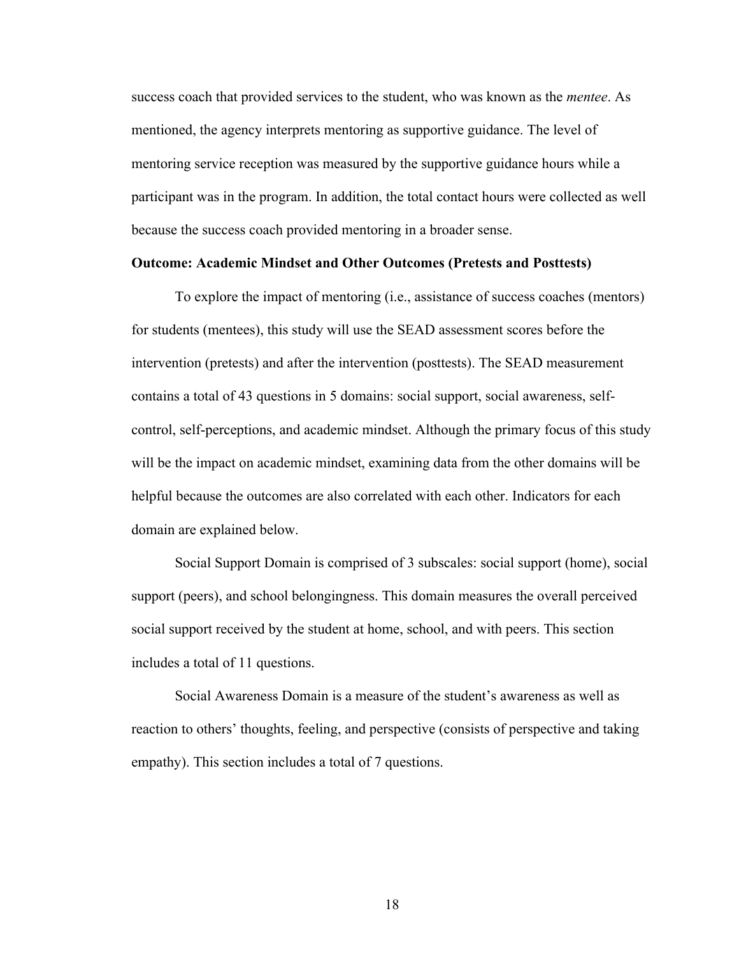success coach that provided services to the student, who was known as the *mentee*. As mentioned, the agency interprets mentoring as supportive guidance. The level of mentoring service reception was measured by the supportive guidance hours while a participant was in the program. In addition, the total contact hours were collected as well because the success coach provided mentoring in a broader sense.

# **Outcome: Academic Mindset and Other Outcomes (Pretests and Posttests)**

To explore the impact of mentoring (i.e., assistance of success coaches (mentors) for students (mentees), this study will use the SEAD assessment scores before the intervention (pretests) and after the intervention (posttests). The SEAD measurement contains a total of 43 questions in 5 domains: social support, social awareness, selfcontrol, self-perceptions, and academic mindset. Although the primary focus of this study will be the impact on academic mindset, examining data from the other domains will be helpful because the outcomes are also correlated with each other. Indicators for each domain are explained below.

Social Support Domain is comprised of 3 subscales: social support (home), social support (peers), and school belongingness. This domain measures the overall perceived social support received by the student at home, school, and with peers. This section includes a total of 11 questions.

Social Awareness Domain is a measure of the student's awareness as well as reaction to others' thoughts, feeling, and perspective (consists of perspective and taking empathy). This section includes a total of 7 questions.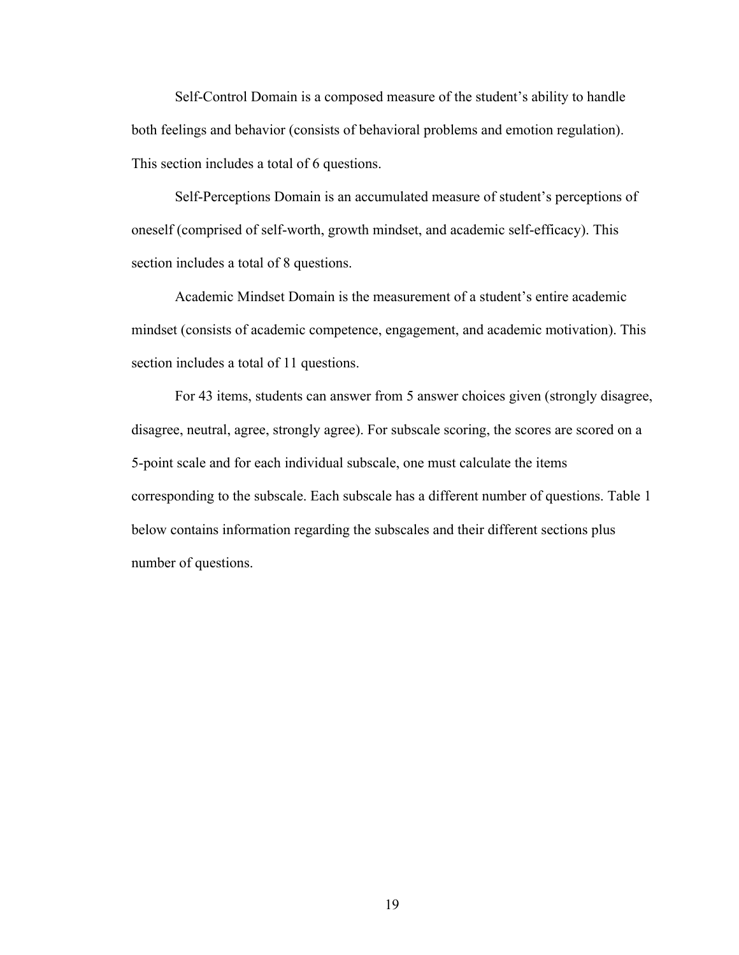Self-Control Domain is a composed measure of the student's ability to handle both feelings and behavior (consists of behavioral problems and emotion regulation). This section includes a total of 6 questions.

Self-Perceptions Domain is an accumulated measure of student's perceptions of oneself (comprised of self-worth, growth mindset, and academic self-efficacy). This section includes a total of 8 questions.

Academic Mindset Domain is the measurement of a student's entire academic mindset (consists of academic competence, engagement, and academic motivation). This section includes a total of 11 questions.

For 43 items, students can answer from 5 answer choices given (strongly disagree, disagree, neutral, agree, strongly agree). For subscale scoring, the scores are scored on a 5-point scale and for each individual subscale, one must calculate the items corresponding to the subscale. Each subscale has a different number of questions. Table 1 below contains information regarding the subscales and their different sections plus number of questions.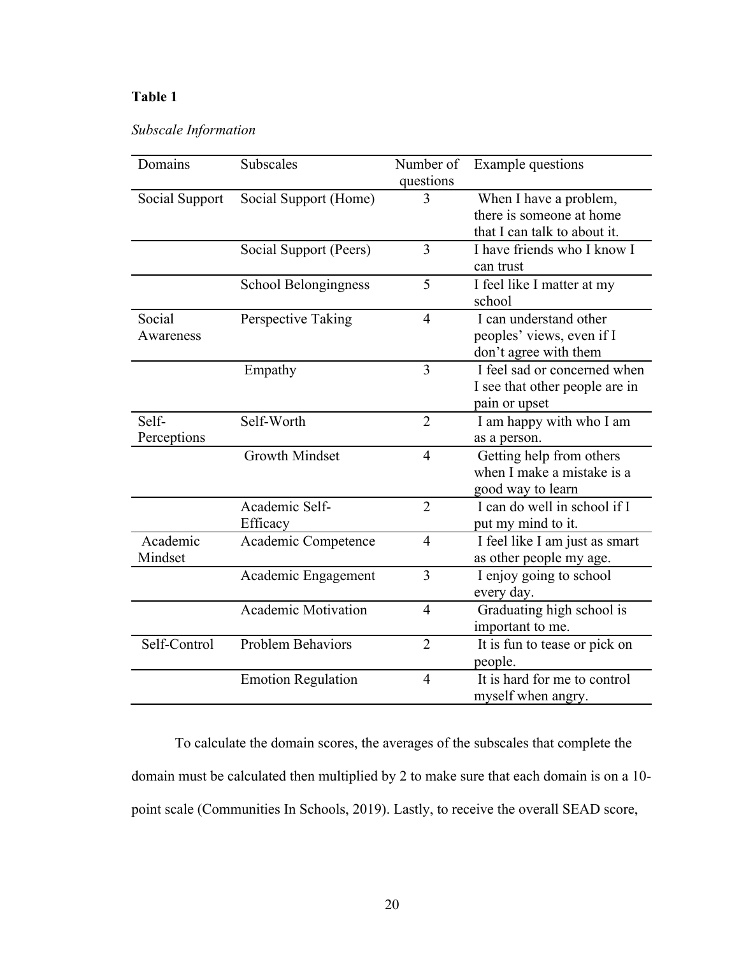# **Table 1**

# *Subscale Information*

| Subscales                  | Number of                                    | Example questions              |
|----------------------------|----------------------------------------------|--------------------------------|
|                            |                                              |                                |
|                            |                                              | When I have a problem,         |
|                            |                                              | there is someone at home       |
|                            |                                              | that I can talk to about it.   |
| Social Support (Peers)     | 3                                            | I have friends who I know I    |
|                            |                                              | can trust                      |
| School Belongingness       | 5                                            | I feel like I matter at my     |
|                            |                                              | school                         |
| Perspective Taking         | $\overline{4}$                               | I can understand other         |
|                            |                                              | peoples' views, even if I      |
|                            |                                              | don't agree with them          |
| Empathy                    | 3                                            | I feel sad or concerned when   |
|                            |                                              | I see that other people are in |
|                            |                                              | pain or upset                  |
| Self-Worth                 | $\overline{2}$                               | I am happy with who I am       |
|                            |                                              | as a person.                   |
| <b>Growth Mindset</b>      | $\overline{4}$                               | Getting help from others       |
|                            |                                              | when I make a mistake is a     |
|                            |                                              | good way to learn              |
| Academic Self-             | $\overline{2}$                               | I can do well in school if I   |
| Efficacy                   |                                              | put my mind to it.             |
|                            | $\overline{4}$                               | I feel like I am just as smart |
|                            |                                              | as other people my age.        |
| Academic Engagement        | $\overline{3}$                               | I enjoy going to school        |
|                            |                                              | every day.                     |
| <b>Academic Motivation</b> | $\overline{4}$                               | Graduating high school is      |
|                            |                                              | important to me.               |
| <b>Problem Behaviors</b>   | $\overline{2}$                               | It is fun to tease or pick on  |
|                            |                                              | people.                        |
| <b>Emotion Regulation</b>  | $\overline{4}$                               | It is hard for me to control   |
|                            |                                              | myself when angry.             |
|                            | Social Support (Home)<br>Academic Competence | questions<br>3                 |

To calculate the domain scores, the averages of the subscales that complete the domain must be calculated then multiplied by 2 to make sure that each domain is on a 10 point scale (Communities In Schools, 2019). Lastly, to receive the overall SEAD score,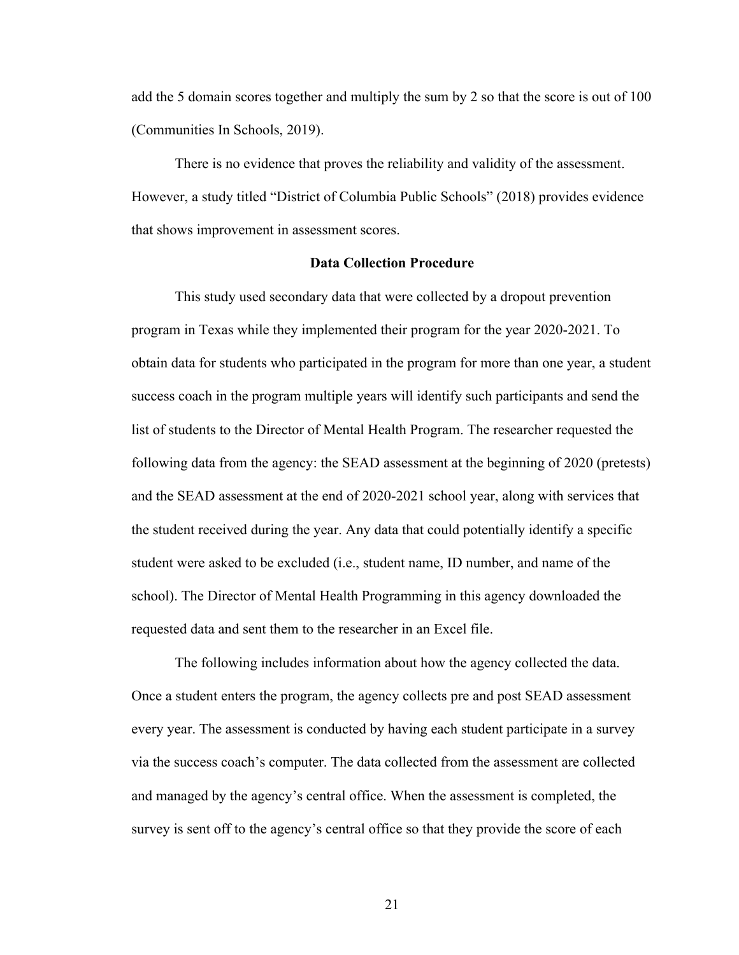add the 5 domain scores together and multiply the sum by 2 so that the score is out of 100 (Communities In Schools, 2019).

There is no evidence that proves the reliability and validity of the assessment. However, a study titled "District of Columbia Public Schools" (2018) provides evidence that shows improvement in assessment scores.

### **Data Collection Procedure**

This study used secondary data that were collected by a dropout prevention program in Texas while they implemented their program for the year 2020-2021. To obtain data for students who participated in the program for more than one year, a student success coach in the program multiple years will identify such participants and send the list of students to the Director of Mental Health Program. The researcher requested the following data from the agency: the SEAD assessment at the beginning of 2020 (pretests) and the SEAD assessment at the end of 2020-2021 school year, along with services that the student received during the year. Any data that could potentially identify a specific student were asked to be excluded (i.e., student name, ID number, and name of the school). The Director of Mental Health Programming in this agency downloaded the requested data and sent them to the researcher in an Excel file.

The following includes information about how the agency collected the data. Once a student enters the program, the agency collects pre and post SEAD assessment every year. The assessment is conducted by having each student participate in a survey via the success coach's computer. The data collected from the assessment are collected and managed by the agency's central office. When the assessment is completed, the survey is sent off to the agency's central office so that they provide the score of each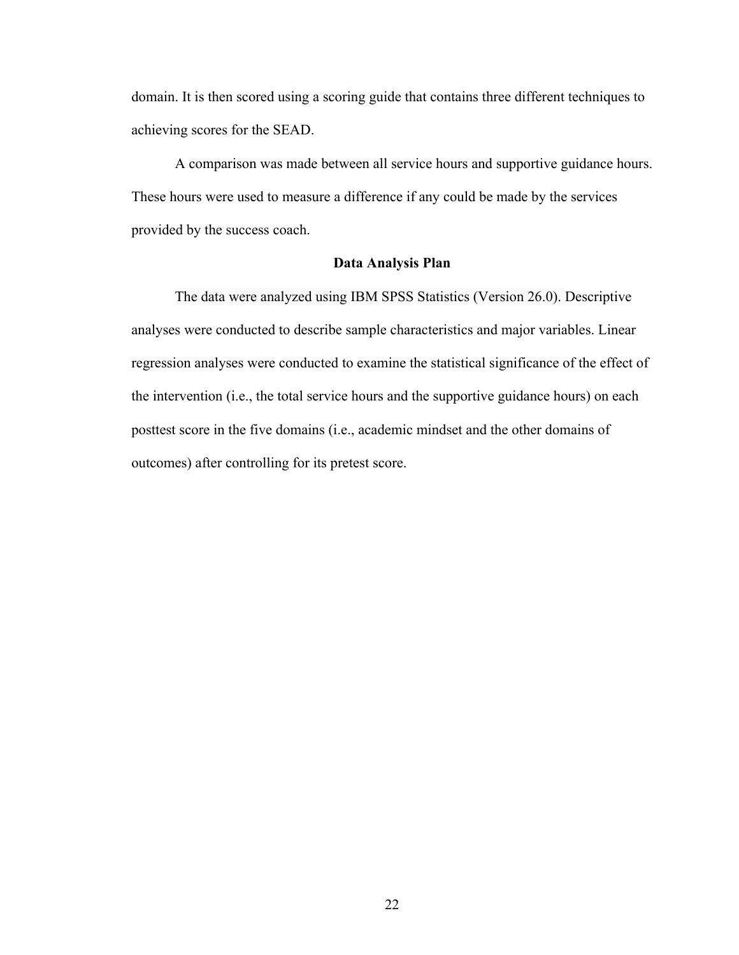domain. It is then scored using a scoring guide that contains three different techniques to achieving scores for the SEAD.

A comparison was made between all service hours and supportive guidance hours. These hours were used to measure a difference if any could be made by the services provided by the success coach.

### **Data Analysis Plan**

The data were analyzed using IBM SPSS Statistics (Version 26.0). Descriptive analyses were conducted to describe sample characteristics and major variables. Linear regression analyses were conducted to examine the statistical significance of the effect of the intervention (i.e., the total service hours and the supportive guidance hours) on each posttest score in the five domains (i.e., academic mindset and the other domains of outcomes) after controlling for its pretest score.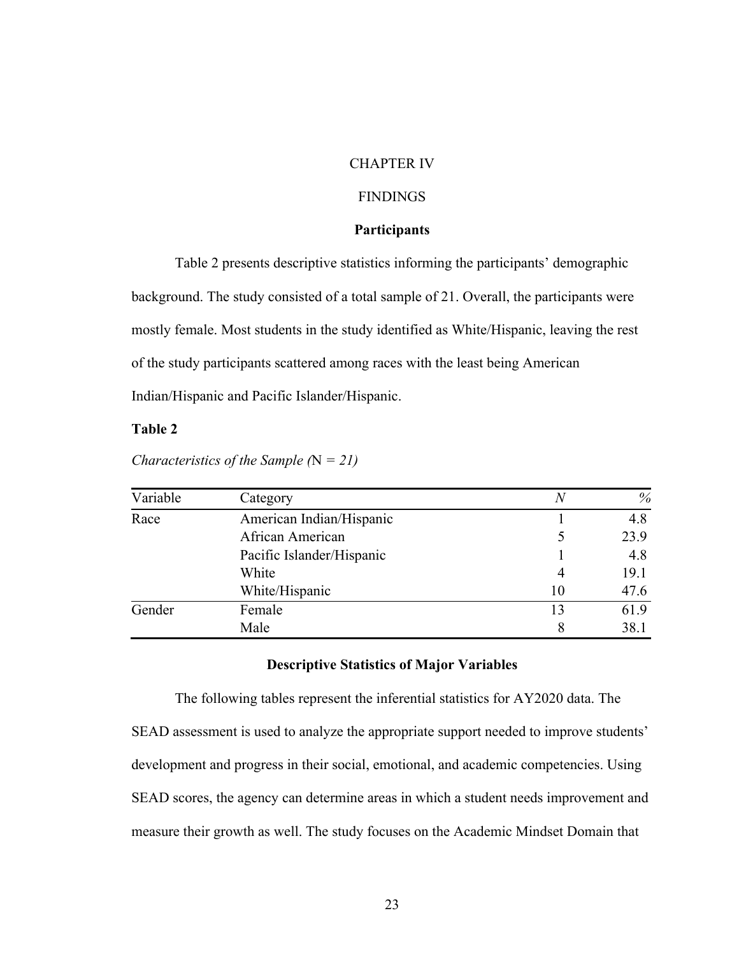### CHAPTER IV

# FINDINGS

### **Participants**

Table 2 presents descriptive statistics informing the participants' demographic background. The study consisted of a total sample of 21. Overall, the participants were mostly female. Most students in the study identified as White/Hispanic, leaving the rest of the study participants scattered among races with the least being American Indian/Hispanic and Pacific Islander/Hispanic.

### **Table 2**

| Variable | Category                  | N  | %    |  |
|----------|---------------------------|----|------|--|
| Race     | American Indian/Hispanic  |    | 4.8  |  |
|          | African American          |    | 23.9 |  |
|          | Pacific Islander/Hispanic |    | 4.8  |  |
|          | White                     |    | 19.1 |  |
|          | White/Hispanic            | 10 | 47.6 |  |
| Gender   | Female                    | 13 | 61.9 |  |
|          | Male                      |    | 38.1 |  |

*Characteristics of the Sample (*N *= 21)*

### **Descriptive Statistics of Major Variables**

The following tables represent the inferential statistics for AY2020 data. The SEAD assessment is used to analyze the appropriate support needed to improve students' development and progress in their social, emotional, and academic competencies. Using SEAD scores, the agency can determine areas in which a student needs improvement and measure their growth as well. The study focuses on the Academic Mindset Domain that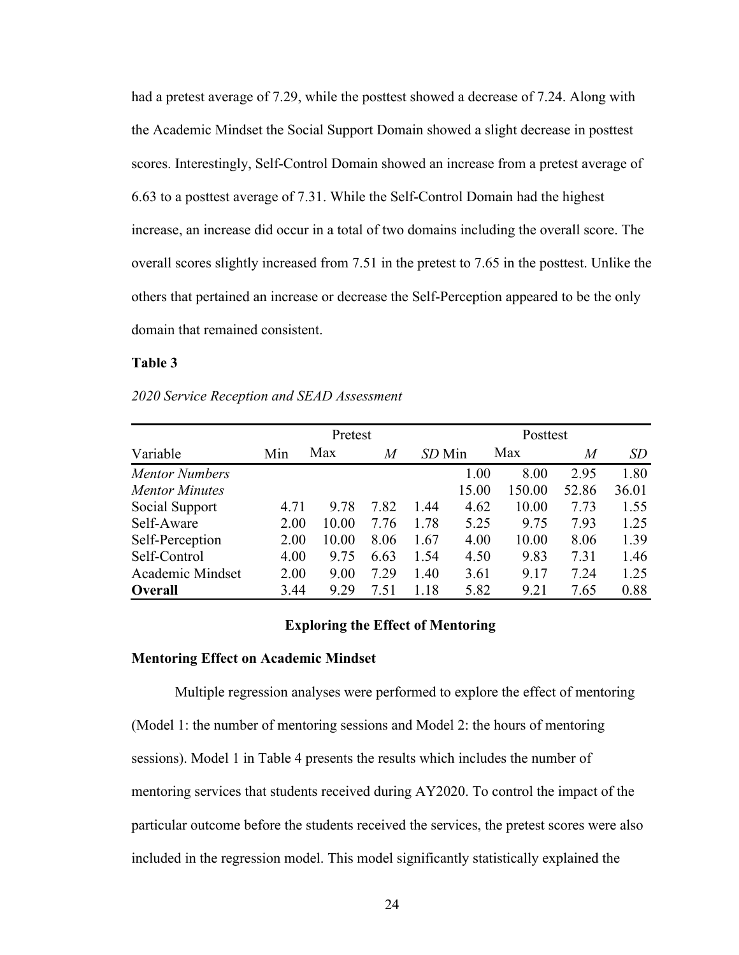had a pretest average of 7.29, while the posttest showed a decrease of 7.24. Along with the Academic Mindset the Social Support Domain showed a slight decrease in posttest scores. Interestingly, Self-Control Domain showed an increase from a pretest average of 6.63 to a posttest average of 7.31. While the Self-Control Domain had the highest increase, an increase did occur in a total of two domains including the overall score. The overall scores slightly increased from 7.51 in the pretest to 7.65 in the posttest. Unlike the others that pertained an increase or decrease the Self-Perception appeared to be the only domain that remained consistent.

### **Table 3**

*2020 Service Reception and SEAD Assessment*

|                       | Pretest |       |      |        | Posttest |        |       |       |
|-----------------------|---------|-------|------|--------|----------|--------|-------|-------|
| Variable              | Min     | Max   | M    | SD Min |          | Max    | M     | SD    |
| <b>Mentor Numbers</b> |         |       |      |        | 1.00     | 8.00   | 2.95  | 1.80  |
| <b>Mentor Minutes</b> |         |       |      |        | 15.00    | 150.00 | 52.86 | 36.01 |
| Social Support        | 4.71    | 9.78  | 7.82 | 1.44   | 4.62     | 10.00  | 7.73  | 1.55  |
| Self-Aware            | 2.00    | 10.00 | 7.76 | 1.78   | 5.25     | 9.75   | 7.93  | 1.25  |
| Self-Perception       | 2.00    | 10.00 | 8.06 | 1.67   | 4.00     | 10.00  | 8.06  | 1.39  |
| Self-Control          | 4.00    | 9.75  | 6.63 | 1.54   | 4.50     | 9.83   | 7.31  | 1.46  |
| Academic Mindset      | 2.00    | 9.00  | 7.29 | 1.40   | 3.61     | 9.17   | 7.24  | 1.25  |
| <b>Overall</b>        | 3.44    | 9.29  | 7.51 | 1.18   | 5.82     | 9.21   | 7.65  | 0.88  |

### **Exploring the Effect of Mentoring**

### **Mentoring Effect on Academic Mindset**

Multiple regression analyses were performed to explore the effect of mentoring (Model 1: the number of mentoring sessions and Model 2: the hours of mentoring sessions). Model 1 in Table 4 presents the results which includes the number of mentoring services that students received during AY2020. To control the impact of the particular outcome before the students received the services, the pretest scores were also included in the regression model. This model significantly statistically explained the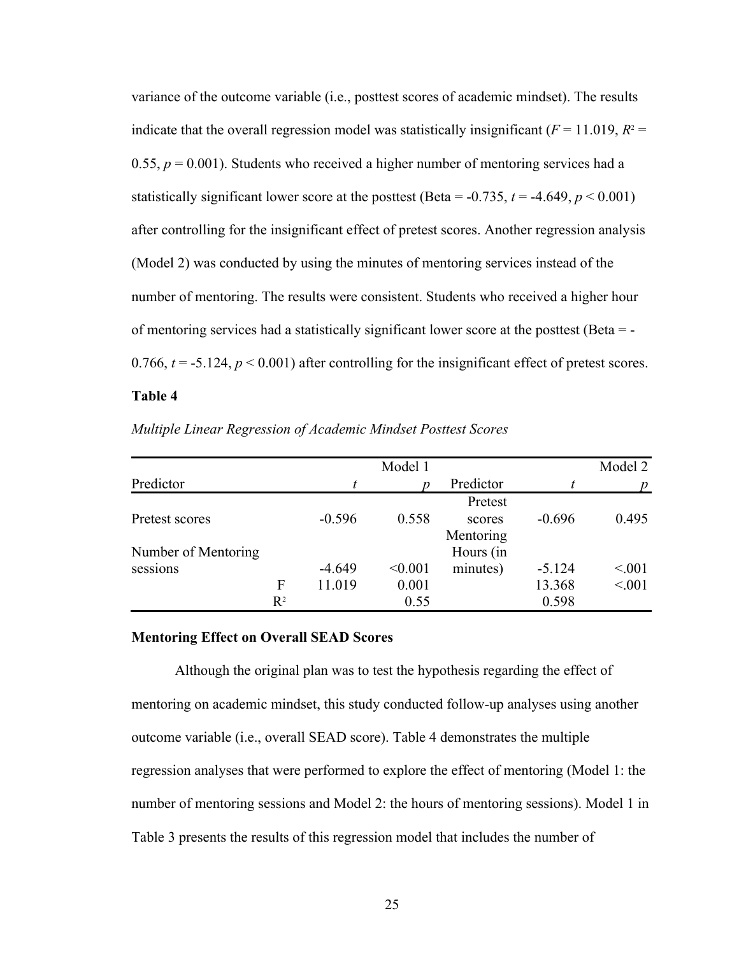variance of the outcome variable (i.e., posttest scores of academic mindset). The results indicate that the overall regression model was statistically insignificant ( $F = 11.019$ ,  $R^2 =$ 0.55,  $p = 0.001$ ). Students who received a higher number of mentoring services had a statistically significant lower score at the posttest (Beta =  $-0.735$ ,  $t = -4.649$ ,  $p < 0.001$ ) after controlling for the insignificant effect of pretest scores. Another regression analysis (Model 2) was conducted by using the minutes of mentoring services instead of the number of mentoring. The results were consistent. Students who received a higher hour of mentoring services had a statistically significant lower score at the posttest (Beta = - 0.766,  $t = -5.124$ ,  $p < 0.001$ ) after controlling for the insignificant effect of pretest scores.

# **Table 4**

|                     |                |          | Model 1 |           |          | Model 2 |
|---------------------|----------------|----------|---------|-----------|----------|---------|
| Predictor           |                |          |         | Predictor |          |         |
|                     |                |          |         | Pretest   |          |         |
| Pretest scores      |                | $-0.596$ | 0.558   | scores    | $-0.696$ | 0.495   |
|                     |                |          |         | Mentoring |          |         |
| Number of Mentoring |                |          |         | Hours (in |          |         |
| sessions            |                | $-4.649$ | < 0.001 | minutes)  | $-5.124$ | < 0.01  |
|                     | F              | 11.019   | 0.001   |           | 13.368   | < 0.01  |
|                     | $\mathbf{R}^2$ |          | 0.55    |           | 0.598    |         |

*Multiple Linear Regression of Academic Mindset Posttest Scores*

### **Mentoring Effect on Overall SEAD Scores**

Although the original plan was to test the hypothesis regarding the effect of mentoring on academic mindset, this study conducted follow-up analyses using another outcome variable (i.e., overall SEAD score). Table 4 demonstrates the multiple regression analyses that were performed to explore the effect of mentoring (Model 1: the number of mentoring sessions and Model 2: the hours of mentoring sessions). Model 1 in Table 3 presents the results of this regression model that includes the number of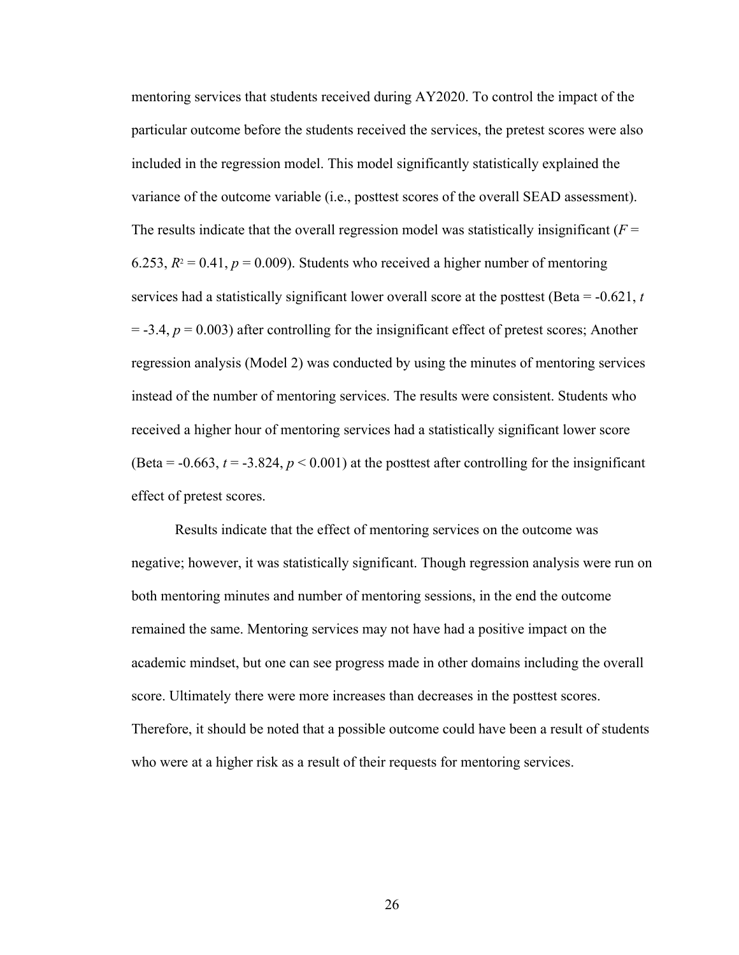mentoring services that students received during AY2020. To control the impact of the particular outcome before the students received the services, the pretest scores were also included in the regression model. This model significantly statistically explained the variance of the outcome variable (i.e., posttest scores of the overall SEAD assessment). The results indicate that the overall regression model was statistically insignificant  $(F =$ 6.253,  $R^2 = 0.41$ ,  $p = 0.009$ ). Students who received a higher number of mentoring services had a statistically significant lower overall score at the posttest (Beta = -0.621, *t*  $=$  -3.4,  $p = 0.003$ ) after controlling for the insignificant effect of pretest scores; Another regression analysis (Model 2) was conducted by using the minutes of mentoring services instead of the number of mentoring services. The results were consistent. Students who received a higher hour of mentoring services had a statistically significant lower score (Beta =  $-0.663$ ,  $t = -3.824$ ,  $p < 0.001$ ) at the posttest after controlling for the insignificant effect of pretest scores.

Results indicate that the effect of mentoring services on the outcome was negative; however, it was statistically significant. Though regression analysis were run on both mentoring minutes and number of mentoring sessions, in the end the outcome remained the same. Mentoring services may not have had a positive impact on the academic mindset, but one can see progress made in other domains including the overall score. Ultimately there were more increases than decreases in the posttest scores. Therefore, it should be noted that a possible outcome could have been a result of students who were at a higher risk as a result of their requests for mentoring services.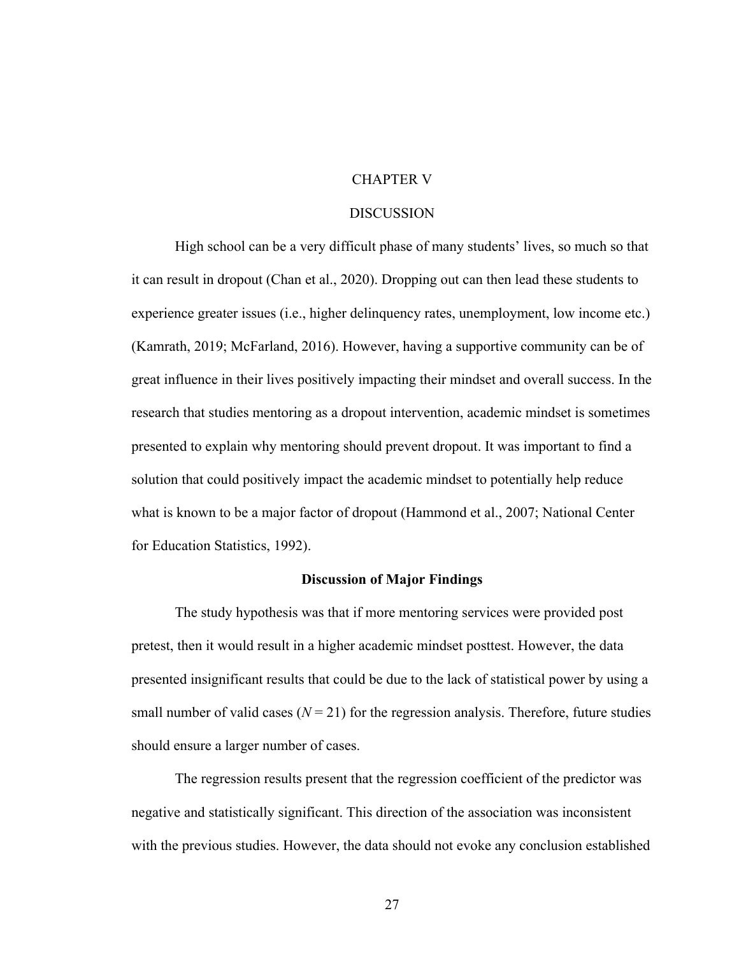# CHAPTER V

### DISCUSSION

High school can be a very difficult phase of many students' lives, so much so that it can result in dropout (Chan et al., 2020). Dropping out can then lead these students to experience greater issues (i.e., higher delinquency rates, unemployment, low income etc.) (Kamrath, 2019; McFarland, 2016). However, having a supportive community can be of great influence in their lives positively impacting their mindset and overall success. In the research that studies mentoring as a dropout intervention, academic mindset is sometimes presented to explain why mentoring should prevent dropout. It was important to find a solution that could positively impact the academic mindset to potentially help reduce what is known to be a major factor of dropout (Hammond et al., 2007; National Center for Education Statistics, 1992).

# **Discussion of Major Findings**

The study hypothesis was that if more mentoring services were provided post pretest, then it would result in a higher academic mindset posttest. However, the data presented insignificant results that could be due to the lack of statistical power by using a small number of valid cases  $(N = 21)$  for the regression analysis. Therefore, future studies should ensure a larger number of cases.

The regression results present that the regression coefficient of the predictor was negative and statistically significant. This direction of the association was inconsistent with the previous studies. However, the data should not evoke any conclusion established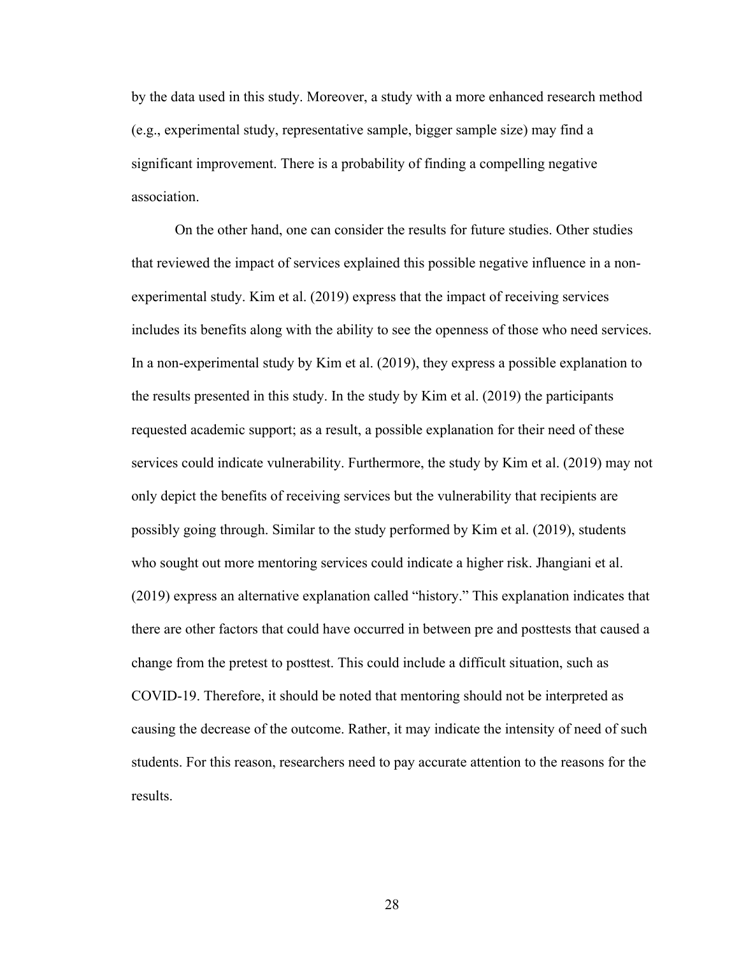by the data used in this study. Moreover, a study with a more enhanced research method (e.g., experimental study, representative sample, bigger sample size) may find a significant improvement. There is a probability of finding a compelling negative association.

On the other hand, one can consider the results for future studies. Other studies that reviewed the impact of services explained this possible negative influence in a nonexperimental study. Kim et al. (2019) express that the impact of receiving services includes its benefits along with the ability to see the openness of those who need services. In a non-experimental study by Kim et al. (2019), they express a possible explanation to the results presented in this study. In the study by Kim et al. (2019) the participants requested academic support; as a result, a possible explanation for their need of these services could indicate vulnerability. Furthermore, the study by Kim et al. (2019) may not only depict the benefits of receiving services but the vulnerability that recipients are possibly going through. Similar to the study performed by Kim et al. (2019), students who sought out more mentoring services could indicate a higher risk. Jhangiani et al. (2019) express an alternative explanation called "history." This explanation indicates that there are other factors that could have occurred in between pre and posttests that caused a change from the pretest to posttest. This could include a difficult situation, such as COVID-19. Therefore, it should be noted that mentoring should not be interpreted as causing the decrease of the outcome. Rather, it may indicate the intensity of need of such students. For this reason, researchers need to pay accurate attention to the reasons for the results.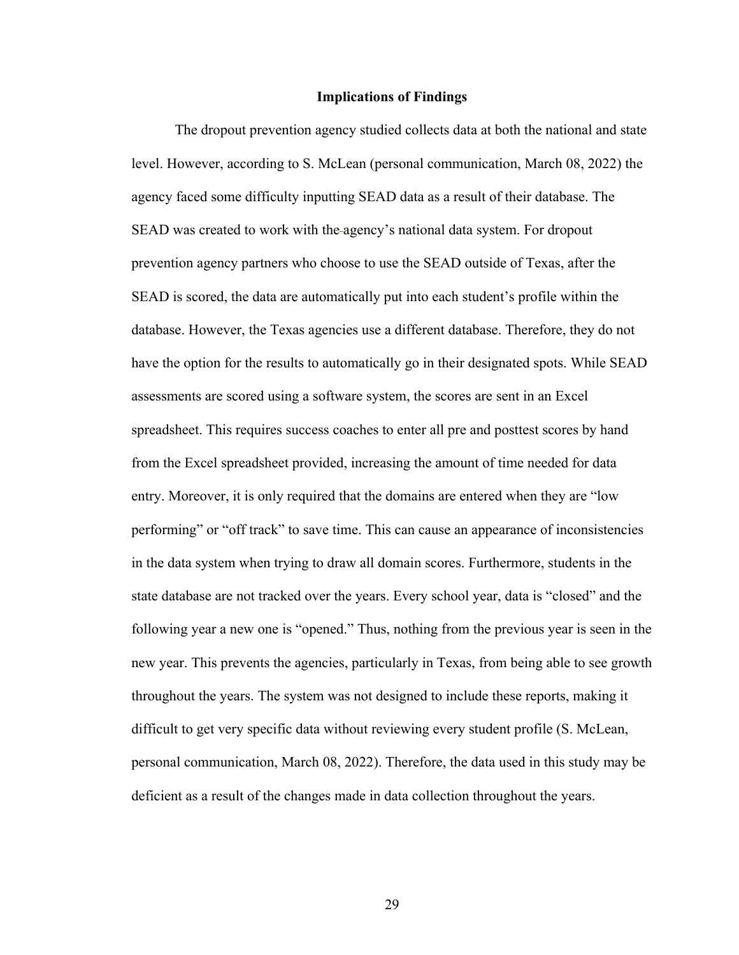#### **Implications of Findings**

The dropout prevention agency studied collects data at both the national and state level. However, according to S. McLean (personal communication, March 08, 2022) the agency faced some difficulty inputting SEAD data as a result of their database. The SEAD was created to work with the agency's national data system. For dropout prevention agency partners who choose to use the SEAD outside of Texas, after the SEAD is scored, the data are automatically put into each student's profile within the database. However, the Texas agencies use a different database. Therefore, they do not have the option for the results to automatically go in their designated spots. While SEAD assessments are scored using a software system, the scores are sent in an Excel spreadsheet. This requires success coaches to enter all pre and posttest scores by hand from the Excel spreadsheet provided, increasing the amount of time needed for data entry. Moreover, it is only required that the domains are entered when they are "low performing" or "off track" to save time. This can cause an appearance of inconsistencies in the data system when trying to draw all domain scores. Furthermore, students in the state database are not tracked over the years. Every school year, data is "closed" and the following year a new one is "opened." Thus, nothing from the previous year is seen in the new year. This prevents the agencies, particularly in Texas, from being able to see growth throughout the years. The system was not designed to include these reports, making it difficult to get very specific data without reviewing every student profile (S. McLean, personal communication, March 08, 2022). Therefore, the data used in this study may be deficient as a result of the changes made in data collection throughout the years.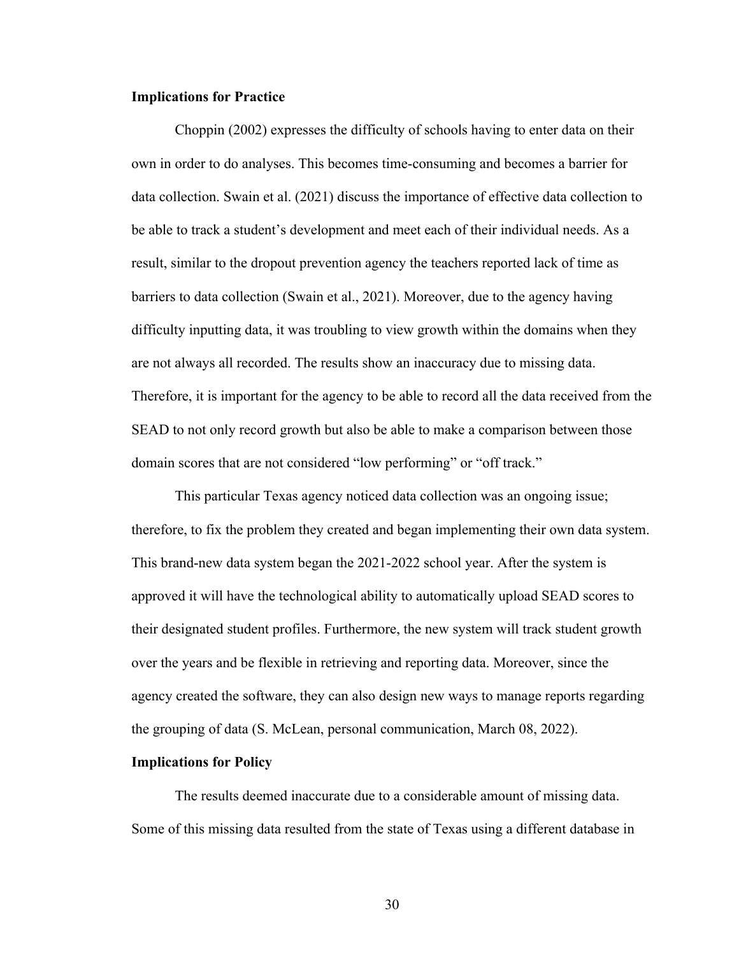### **Implications for Practice**

Choppin (2002) expresses the difficulty of schools having to enter data on their own in order to do analyses. This becomes time-consuming and becomes a barrier for data collection. Swain et al. (2021) discuss the importance of effective data collection to be able to track a student's development and meet each of their individual needs. As a result, similar to the dropout prevention agency the teachers reported lack of time as barriers to data collection (Swain et al., 2021). Moreover, due to the agency having difficulty inputting data, it was troubling to view growth within the domains when they are not always all recorded. The results show an inaccuracy due to missing data. Therefore, it is important for the agency to be able to record all the data received from the SEAD to not only record growth but also be able to make a comparison between those domain scores that are not considered "low performing" or "off track."

This particular Texas agency noticed data collection was an ongoing issue; therefore, to fix the problem they created and began implementing their own data system. This brand-new data system began the 2021-2022 school year. After the system is approved it will have the technological ability to automatically upload SEAD scores to their designated student profiles. Furthermore, the new system will track student growth over the years and be flexible in retrieving and reporting data. Moreover, since the agency created the software, they can also design new ways to manage reports regarding the grouping of data (S. McLean, personal communication, March 08, 2022).

# **Implications for Policy**

The results deemed inaccurate due to a considerable amount of missing data. Some of this missing data resulted from the state of Texas using a different database in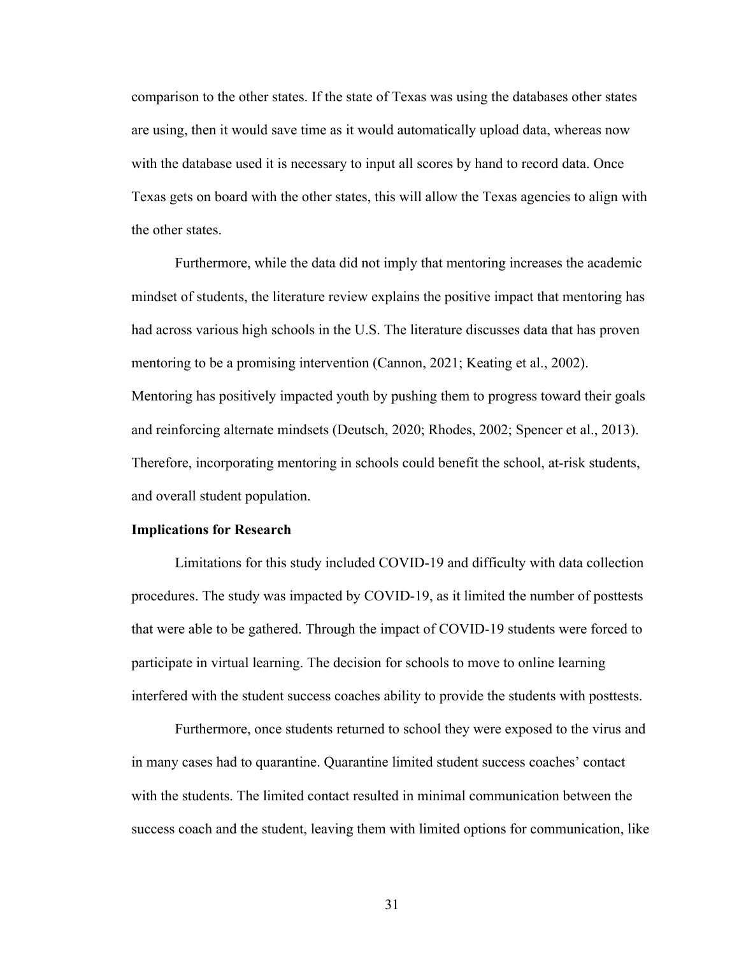comparison to the other states. If the state of Texas was using the databases other states are using, then it would save time as it would automatically upload data, whereas now with the database used it is necessary to input all scores by hand to record data. Once Texas gets on board with the other states, this will allow the Texas agencies to align with the other states.

Furthermore, while the data did not imply that mentoring increases the academic mindset of students, the literature review explains the positive impact that mentoring has had across various high schools in the U.S. The literature discusses data that has proven mentoring to be a promising intervention (Cannon, 2021; Keating et al., 2002). Mentoring has positively impacted youth by pushing them to progress toward their goals and reinforcing alternate mindsets (Deutsch, 2020; Rhodes, 2002; Spencer et al., 2013). Therefore, incorporating mentoring in schools could benefit the school, at-risk students, and overall student population.

### **Implications for Research**

Limitations for this study included COVID-19 and difficulty with data collection procedures. The study was impacted by COVID-19, as it limited the number of posttests that were able to be gathered. Through the impact of COVID-19 students were forced to participate in virtual learning. The decision for schools to move to online learning interfered with the student success coaches ability to provide the students with posttests.

Furthermore, once students returned to school they were exposed to the virus and in many cases had to quarantine. Quarantine limited student success coaches' contact with the students. The limited contact resulted in minimal communication between the success coach and the student, leaving them with limited options for communication, like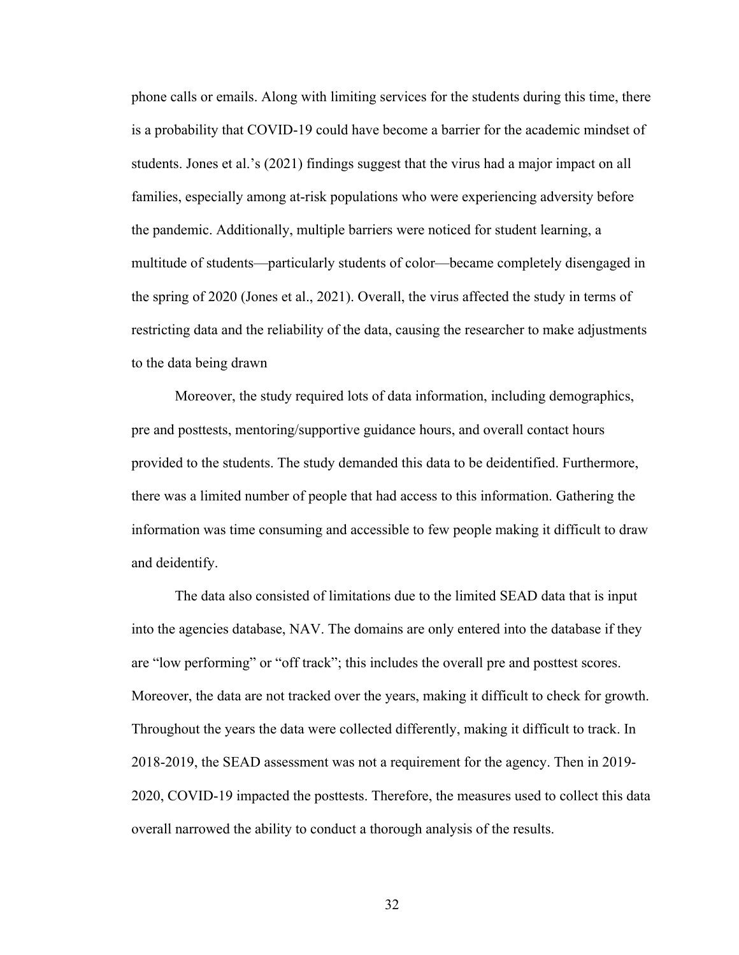phone calls or emails. Along with limiting services for the students during this time, there is a probability that COVID-19 could have become a barrier for the academic mindset of students. Jones et al.'s (2021) findings suggest that the virus had a major impact on all families, especially among at-risk populations who were experiencing adversity before the pandemic. Additionally, multiple barriers were noticed for student learning, a multitude of students—particularly students of color—became completely disengaged in the spring of 2020 (Jones et al., 2021). Overall, the virus affected the study in terms of restricting data and the reliability of the data, causing the researcher to make adjustments to the data being drawn

Moreover, the study required lots of data information, including demographics, pre and posttests, mentoring/supportive guidance hours, and overall contact hours provided to the students. The study demanded this data to be deidentified. Furthermore, there was a limited number of people that had access to this information. Gathering the information was time consuming and accessible to few people making it difficult to draw and deidentify.

The data also consisted of limitations due to the limited SEAD data that is input into the agencies database, NAV. The domains are only entered into the database if they are "low performing" or "off track"; this includes the overall pre and posttest scores. Moreover, the data are not tracked over the years, making it difficult to check for growth. Throughout the years the data were collected differently, making it difficult to track. In 2018-2019, the SEAD assessment was not a requirement for the agency. Then in 2019- 2020, COVID-19 impacted the posttests. Therefore, the measures used to collect this data overall narrowed the ability to conduct a thorough analysis of the results.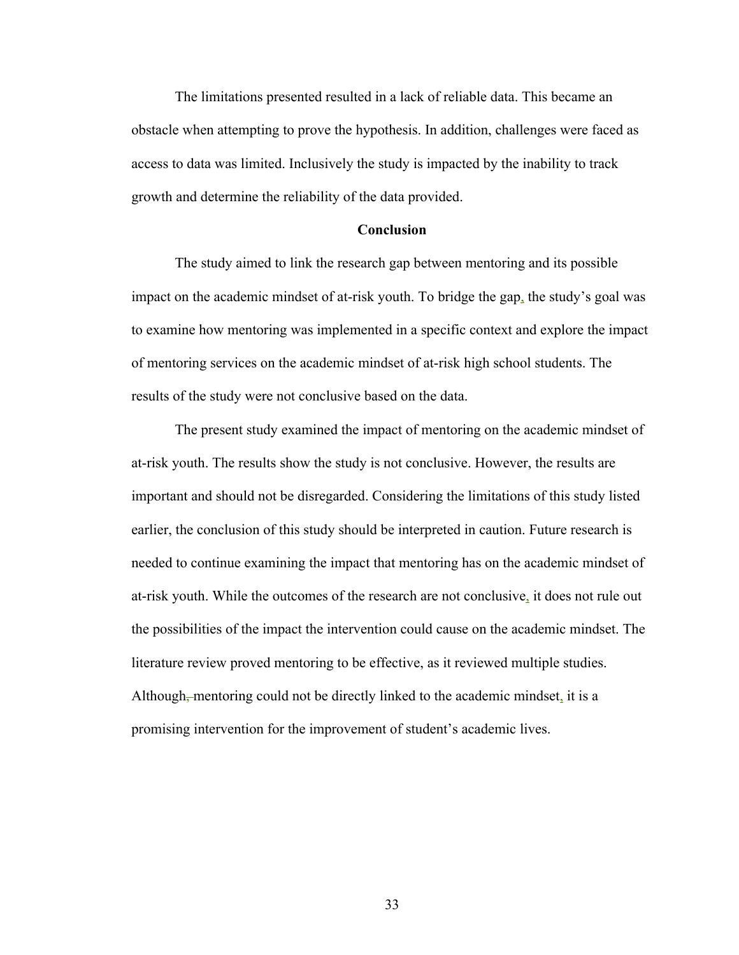The limitations presented resulted in a lack of reliable data. This became an obstacle when attempting to prove the hypothesis. In addition, challenges were faced as access to data was limited. Inclusively the study is impacted by the inability to track growth and determine the reliability of the data provided.

### **Conclusion**

The study aimed to link the research gap between mentoring and its possible impact on the academic mindset of at-risk youth. To bridge the gap, the study's goal was to examine how mentoring was implemented in a specific context and explore the impact of mentoring services on the academic mindset of at-risk high school students. The results of the study were not conclusive based on the data.

The present study examined the impact of mentoring on the academic mindset of at-risk youth. The results show the study is not conclusive. However, the results are important and should not be disregarded. Considering the limitations of this study listed earlier, the conclusion of this study should be interpreted in caution. Future research is needed to continue examining the impact that mentoring has on the academic mindset of at-risk youth. While the outcomes of the research are not conclusive, it does not rule out the possibilities of the impact the intervention could cause on the academic mindset. The literature review proved mentoring to be effective, as it reviewed multiple studies. Although, mentoring could not be directly linked to the academic mindset, it is a promising intervention for the improvement of student's academic lives.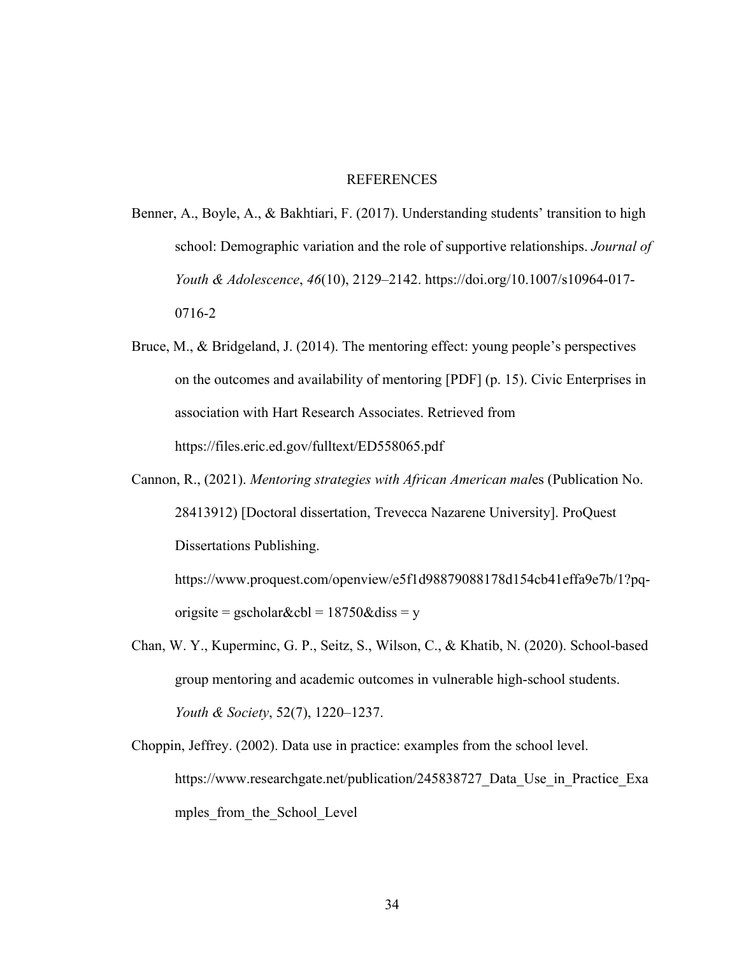# **REFERENCES**

- Benner, A., Boyle, A., & Bakhtiari, F. (2017). Understanding students' transition to high school: Demographic variation and the role of supportive relationships. *Journal of Youth & Adolescence*, *46*(10), 2129–2142. https://doi.org/10.1007/s10964-017- 0716-2
- Bruce, M., & Bridgeland, J. (2014). The mentoring effect: young people's perspectives on the outcomes and availability of mentoring [PDF] (p. 15). Civic Enterprises in association with Hart Research Associates. Retrieved from https://files.eric.ed.gov/fulltext/ED558065.pdf
- Cannon, R., (2021). *Mentoring strategies with African American mal*es (Publication No. 28413912) [Doctoral dissertation, Trevecca Nazarene University]. ProQuest Dissertations Publishing. https://www.proquest.com/openview/e5f1d98879088178d154cb41effa9e7b/1?pq-

origsite = gscholar&cbl =  $18750\&$ diss = y

- Chan, W. Y., Kuperminc, G. P., Seitz, S., Wilson, C., & Khatib, N. (2020). School-based group mentoring and academic outcomes in vulnerable high-school students. *Youth & Society*, 52(7), 1220–1237.
- Choppin, Jeffrey. (2002). Data use in practice: examples from the school level. https://www.researchgate.net/publication/245838727 Data Use in Practice Exa mples from the School Level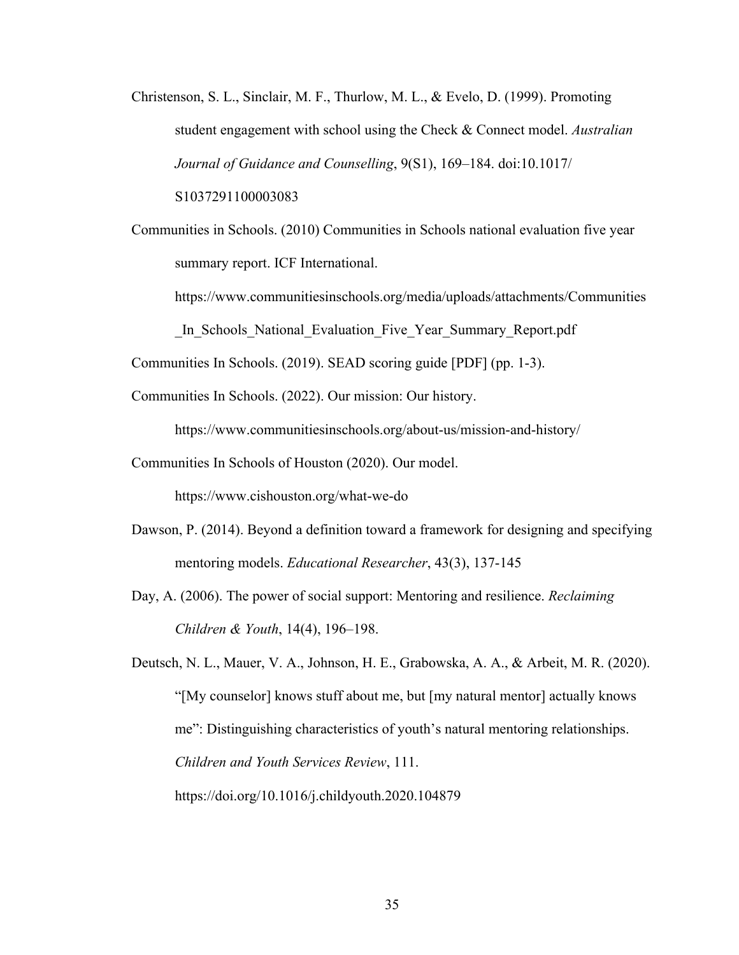Christenson, S. L., Sinclair, M. F., Thurlow, M. L., & Evelo, D. (1999). Promoting student engagement with school using the Check & Connect model. *Australian Journal of Guidance and Counselling*, 9(S1), 169–184. doi:10.1017/ S1037291100003083

Communities in Schools. (2010) Communities in Schools national evaluation five year summary report. ICF International.

https://www.communitiesinschools.org/media/uploads/attachments/Communities

In Schools National Evaluation Five Year Summary Report.pdf

Communities In Schools. (2019). SEAD scoring guide [PDF] (pp. 1-3).

Communities In Schools. (2022). Our mission: Our history.

https://www.communitiesinschools.org/about-us/mission-and-history/

Communities In Schools of Houston (2020). Our model.

https://www.cishouston.org/what-we-do

Dawson, P. (2014). Beyond a definition toward a framework for designing and specifying mentoring models. *Educational Researcher*, 43(3), 137-145

Day, A. (2006). The power of social support: Mentoring and resilience. *Reclaiming Children & Youth*, 14(4), 196–198.

Deutsch, N. L., Mauer, V. A., Johnson, H. E., Grabowska, A. A., & Arbeit, M. R. (2020). "[My counselor] knows stuff about me, but [my natural mentor] actually knows me": Distinguishing characteristics of youth's natural mentoring relationships. *Children and Youth Services Review*, 111.

https://doi.org/10.1016/j.childyouth.2020.104879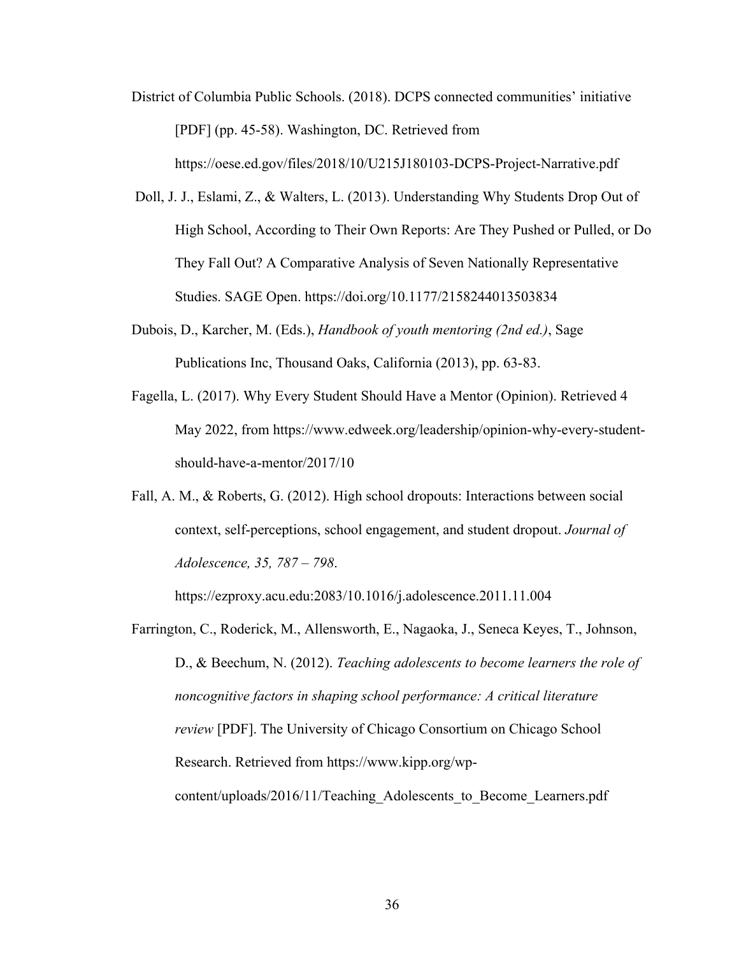- District of Columbia Public Schools. (2018). DCPS connected communities' initiative [PDF] (pp. 45-58). Washington, DC. Retrieved from https://oese.ed.gov/files/2018/10/U215J180103-DCPS-Project-Narrative.pdf
- Doll, J. J., Eslami, Z., & Walters, L. (2013). Understanding Why Students Drop Out of High School, According to Their Own Reports: Are They Pushed or Pulled, or Do They Fall Out? A Comparative Analysis of Seven Nationally Representative Studies. SAGE Open. https://doi.org/10.1177/2158244013503834
- Dubois, D., Karcher, M. (Eds.), *Handbook of youth mentoring (2nd ed.)*, Sage Publications Inc, Thousand Oaks, California (2013), pp. 63-83.
- Fagella, L. (2017). Why Every Student Should Have a Mentor (Opinion). Retrieved 4 May 2022, from https://www.edweek.org/leadership/opinion-why-every-studentshould-have-a-mentor/2017/10
- Fall, A. M., & Roberts, G. (2012). High school dropouts: Interactions between social context, self‐perceptions, school engagement, and student dropout. *Journal of Adolescence, 35, 787 – 798*.

https://ezproxy.acu.edu:2083/10.1016/j.adolescence.2011.11.004

Farrington, C., Roderick, M., Allensworth, E., Nagaoka, J., Seneca Keyes, T., Johnson, D., & Beechum, N. (2012). *Teaching adolescents to become learners the role of noncognitive factors in shaping school performance: A critical literature review* [PDF]. The University of Chicago Consortium on Chicago School Research. Retrieved from https://www.kipp.org/wpcontent/uploads/2016/11/Teaching Adolescents to Become Learners.pdf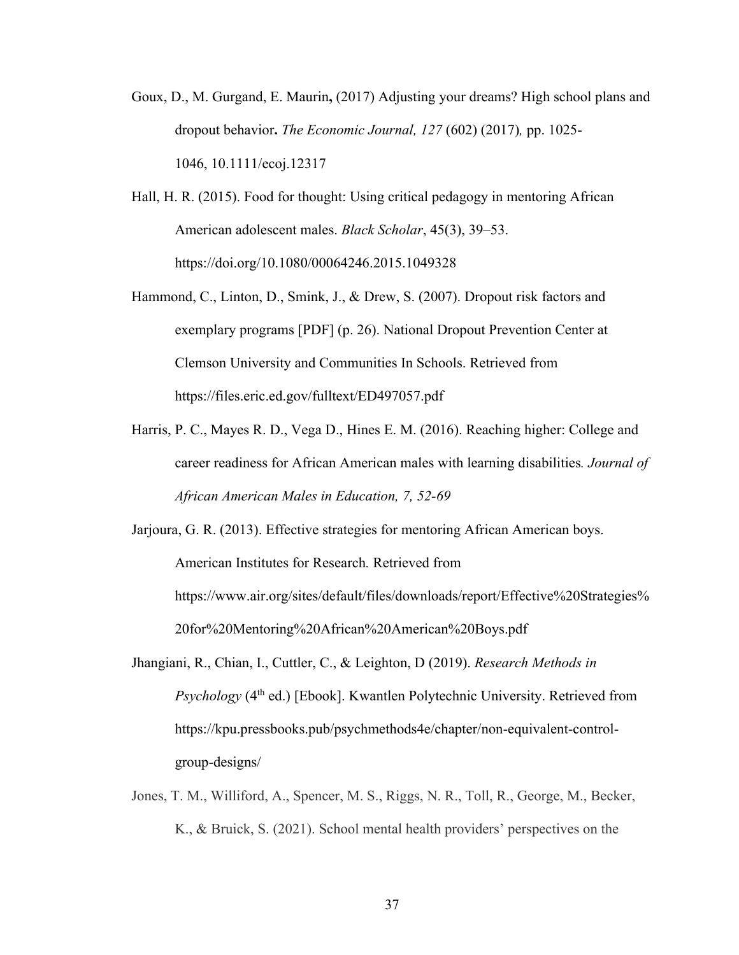- Goux, D., M. Gurgand, E. Maurin**,** (2017) Adjusting your dreams? High school plans and dropout behavior**.** *The Economic Journal, 127* (602) (2017)*,* pp. 1025- 1046, 10.1111/ecoj.12317
- Hall, H. R. (2015). Food for thought: Using critical pedagogy in mentoring African American adolescent males. *Black Scholar*, 45(3), 39–53. https://doi.org/10.1080/00064246.2015.1049328
- Hammond, C., Linton, D., Smink, J., & Drew, S. (2007). Dropout risk factors and exemplary programs [PDF] (p. 26). National Dropout Prevention Center at Clemson University and Communities In Schools. Retrieved from https://files.eric.ed.gov/fulltext/ED497057.pdf
- Harris, P. C., Mayes R. D., Vega D., Hines E. M. (2016). Reaching higher: College and career readiness for African American males with learning disabilities*. Journal of African American Males in Education, 7, 52-69*
- Jarjoura, G. R. (2013). Effective strategies for mentoring African American boys. American Institutes for Research*.* Retrieved from https://www.air.org/sites/default/files/downloads/report/Effective%20Strategies% 20for%20Mentoring%20African%20American%20Boys.pdf
- Jhangiani, R., Chian, I., Cuttler, C., & Leighton, D (2019). *Research Methods in Psychology* (4<sup>th</sup> ed.) [Ebook]. Kwantlen Polytechnic University. Retrieved from https://kpu.pressbooks.pub/psychmethods4e/chapter/non-equivalent-controlgroup-designs/
- Jones, T. M., Williford, A., Spencer, M. S., Riggs, N. R., Toll, R., George, M., Becker, K., & Bruick, S. (2021). School mental health providers' perspectives on the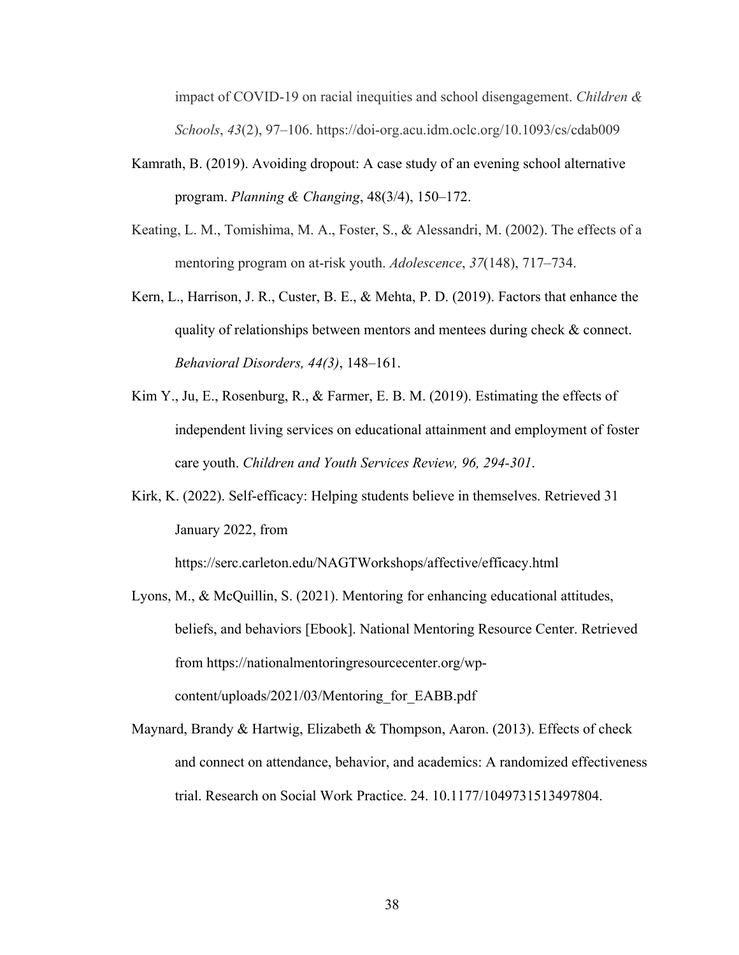impact of COVID-19 on racial inequities and school disengagement. *Children & Schools*, *43*(2), 97–106. https://doi-org.acu.idm.oclc.org/10.1093/cs/cdab009

- Kamrath, B. (2019). Avoiding dropout: A case study of an evening school alternative program. *Planning & Changing*, 48(3/4), 150–172.
- Keating, L. M., Tomishima, M. A., Foster, S., & Alessandri, M. (2002). The effects of a mentoring program on at-risk youth. *Adolescence*, *37*(148), 717–734.
- Kern, L., Harrison, J. R., Custer, B. E., & Mehta, P. D. (2019). Factors that enhance the quality of relationships between mentors and mentees during check & connect. *Behavioral Disorders, 44(3)*, 148–161.
- Kim Y., Ju, E., Rosenburg, R., & Farmer, E. B. M. (2019). Estimating the effects of independent living services on educational attainment and employment of foster care youth. *Children and Youth Services Review, 96, 294-301*.
- Kirk, K. (2022). Self-efficacy: Helping students believe in themselves. Retrieved 31 January 2022, from

https://serc.carleton.edu/NAGTWorkshops/affective/efficacy.html

- Lyons, M., & McQuillin, S. (2021). Mentoring for enhancing educational attitudes, beliefs, and behaviors [Ebook]. National Mentoring Resource Center. Retrieved from https://nationalmentoringresourcecenter.org/wpcontent/uploads/2021/03/Mentoring\_for\_EABB.pdf
- Maynard, Brandy & Hartwig, Elizabeth & Thompson, Aaron. (2013). Effects of check and connect on attendance, behavior, and academics: A randomized effectiveness trial. Research on Social Work Practice. 24. 10.1177/1049731513497804.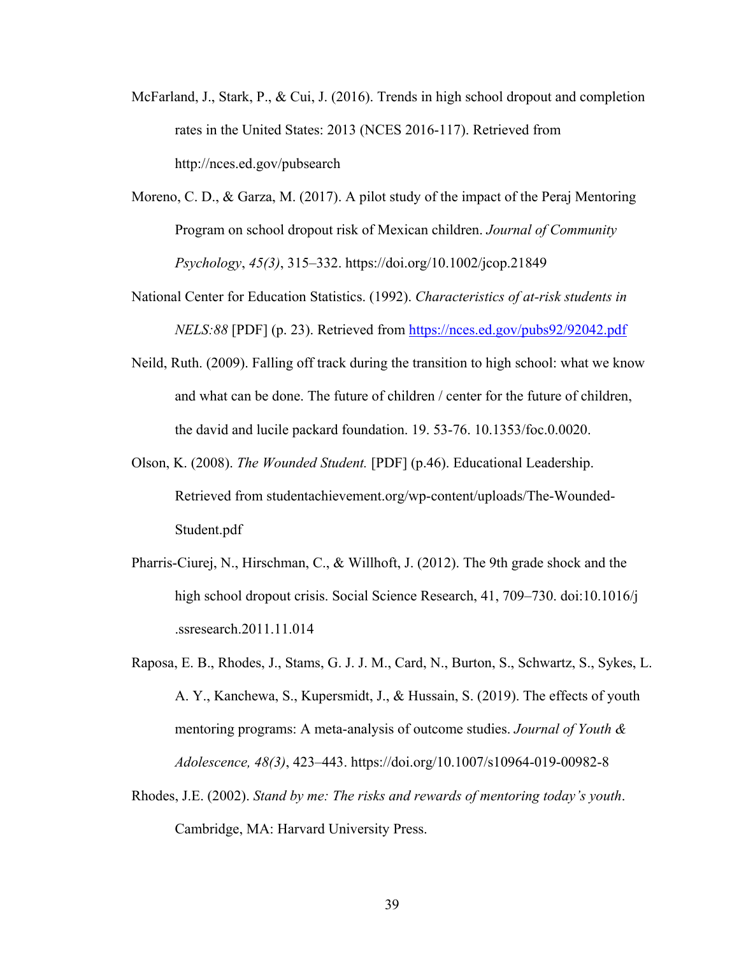- McFarland, J., Stark, P., & Cui, J. (2016). Trends in high school dropout and completion rates in the United States: 2013 (NCES 2016-117). Retrieved from http://nces.ed.gov/pubsearch
- Moreno, C. D., & Garza, M. (2017). A pilot study of the impact of the Peraj Mentoring Program on school dropout risk of Mexican children. *Journal of Community Psychology*, *45(3)*, 315–332. https://doi.org/10.1002/jcop.21849
- National Center for Education Statistics. (1992). *Characteristics of at-risk students in NELS:88* [PDF] (p. 23). Retrieved from https://nces.ed.gov/pubs92/92042.pdf
- Neild, Ruth. (2009). Falling off track during the transition to high school: what we know and what can be done. The future of children / center for the future of children, the david and lucile packard foundation. 19. 53-76. 10.1353/foc.0.0020.
- Olson, K. (2008). *The Wounded Student.* [PDF] (p.46). Educational Leadership. Retrieved from studentachievement.org/wp-content/uploads/The-Wounded-Student.pdf
- Pharris-Ciurej, N., Hirschman, C., & Willhoft, J. (2012). The 9th grade shock and the high school dropout crisis. Social Science Research, 41, 709–730. doi:10.1016/j .ssresearch.2011.11.014
- Raposa, E. B., Rhodes, J., Stams, G. J. J. M., Card, N., Burton, S., Schwartz, S., Sykes, L. A. Y., Kanchewa, S., Kupersmidt, J., & Hussain, S. (2019). The effects of youth mentoring programs: A meta-analysis of outcome studies. *Journal of Youth & Adolescence, 48(3)*, 423–443. https://doi.org/10.1007/s10964-019-00982-8
- Rhodes, J.E. (2002). *Stand by me: The risks and rewards of mentoring today's youth*. Cambridge, MA: Harvard University Press.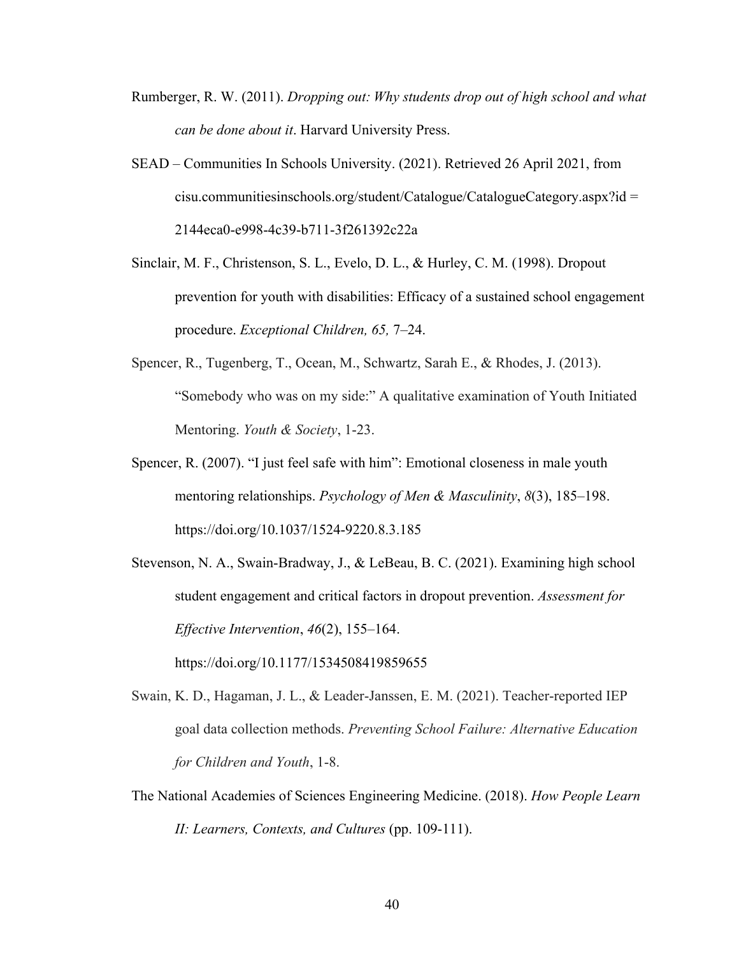- Rumberger, R. W. (2011). *Dropping out: Why students drop out of high school and what can be done about it*. Harvard University Press.
- SEAD Communities In Schools University. (2021). Retrieved 26 April 2021, from cisu.communitiesinschools.org/student/Catalogue/CatalogueCategory.aspx?id = 2144eca0-e998-4c39-b711-3f261392c22a
- Sinclair, M. F., Christenson, S. L., Evelo, D. L., & Hurley, C. M. (1998). Dropout prevention for youth with disabilities: Efficacy of a sustained school engagement procedure. *Exceptional Children, 65,* 7–24.
- Spencer, R., Tugenberg, T., Ocean, M., Schwartz, Sarah E., & Rhodes, J. (2013). "Somebody who was on my side:" A qualitative examination of Youth Initiated Mentoring. *Youth & Society*, 1-23.
- Spencer, R. (2007). "I just feel safe with him": Emotional closeness in male youth mentoring relationships. *Psychology of Men & Masculinity*, *8*(3), 185–198. https://doi.org/10.1037/1524-9220.8.3.185

Stevenson, N. A., Swain-Bradway, J., & LeBeau, B. C. (2021). Examining high school student engagement and critical factors in dropout prevention. *Assessment for Effective Intervention*, *46*(2), 155–164.

https://doi.org/10.1177/1534508419859655

- Swain, K. D., Hagaman, J. L., & Leader-Janssen, E. M. (2021). Teacher-reported IEP goal data collection methods. *Preventing School Failure: Alternative Education for Children and Youth*, 1-8.
- The National Academies of Sciences Engineering Medicine. (2018). *How People Learn II: Learners, Contexts, and Cultures* (pp. 109-111).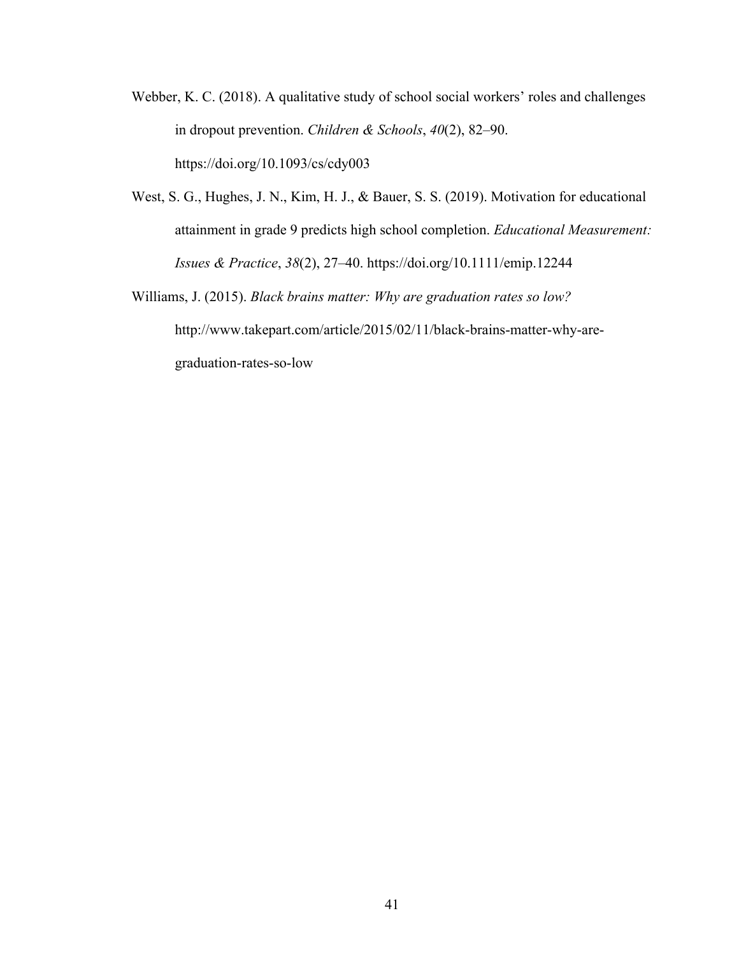- Webber, K. C. (2018). A qualitative study of school social workers' roles and challenges in dropout prevention. *Children & Schools*, *40*(2), 82–90. https://doi.org/10.1093/cs/cdy003
- West, S. G., Hughes, J. N., Kim, H. J., & Bauer, S. S. (2019). Motivation for educational attainment in grade 9 predicts high school completion. *Educational Measurement: Issues & Practice*, *38*(2), 27–40. https://doi.org/10.1111/emip.12244
- Williams, J. (2015). *Black brains matter: Why are graduation rates so low?*  http://www.takepart.com/article/2015/02/11/black-brains-matter-why-aregraduation-rates-so-low